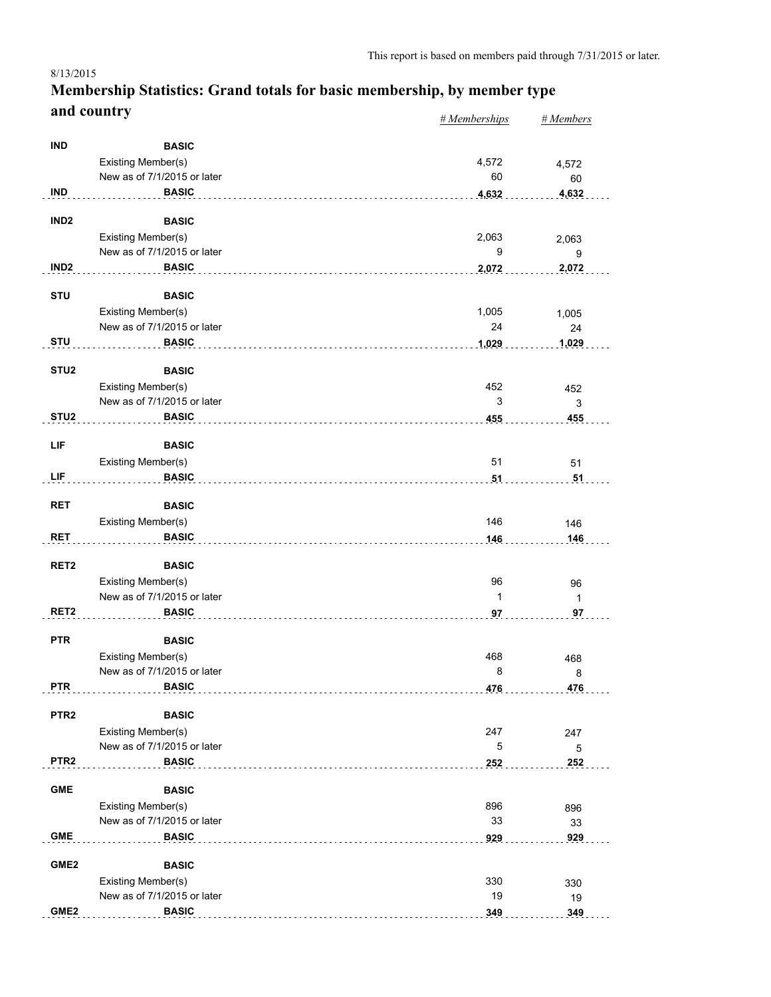#### *# Memberships # Members* **Membership Statistics: Grand totals for basic membership, by member type and country** 8/13/2015

|                  |                                                   | $n$ <i>m</i> cmocromps | $n$ <i>inchibers</i> |
|------------------|---------------------------------------------------|------------------------|----------------------|
| <b>IND</b>       | <b>BASIC</b>                                      |                        |                      |
|                  | Existing Member(s)                                | 4,572                  | 4,572                |
|                  | New as of 7/1/2015 or later                       | 60                     | 60                   |
| <b>IND</b>       | <b>BASIC</b>                                      | 4,632                  | 4,632                |
|                  |                                                   |                        |                      |
| IND <sub>2</sub> | <b>BASIC</b>                                      |                        |                      |
|                  | Existing Member(s)                                | 2,063                  | 2,063                |
|                  | New as of 7/1/2015 or later                       | 9                      | 9                    |
| IND <sub>2</sub> | <b>BASIC</b>                                      | 2,072                  | 2,072                |
|                  |                                                   |                        |                      |
| <b>STU</b>       | <b>BASIC</b>                                      |                        |                      |
|                  | Existing Member(s)                                | 1,005                  | 1,005                |
|                  | New as of 7/1/2015 or later                       | 24                     | 24                   |
| <b>STU</b>       | <b>BASIC</b>                                      | 1,029                  | 1,029                |
|                  |                                                   |                        |                      |
| STU <sub>2</sub> | <b>BASIC</b>                                      |                        |                      |
|                  | Existing Member(s)                                | 452                    | 452                  |
|                  | New as of 7/1/2015 or later                       | 3                      | 3                    |
| STU <sub>2</sub> | <b>BASIC</b>                                      | 455                    | 455                  |
|                  |                                                   |                        |                      |
| LIF              | <b>BASIC</b>                                      |                        |                      |
|                  | Existing Member(s)                                | 51                     | 51                   |
| LIF              | <b>BASIC</b>                                      | 51                     | 51                   |
| <b>RET</b>       | <b>BASIC</b>                                      |                        |                      |
|                  |                                                   | 146                    |                      |
| <b>RET</b>       | Existing Member(s)                                |                        | 146                  |
|                  | <b>BASIC</b>                                      | 146                    | 146                  |
| RET <sub>2</sub> | <b>BASIC</b>                                      |                        |                      |
|                  | Existing Member(s)                                | 96                     | 96                   |
|                  | New as of 7/1/2015 or later                       | 1                      | $\mathbf{1}$         |
| RET <sub>2</sub> | <b>BASIC</b>                                      | 97                     | 97                   |
|                  |                                                   |                        |                      |
| <b>PTR</b>       | <b>BASIC</b>                                      |                        |                      |
|                  | Existing Member(s)                                | 468                    | 468                  |
|                  | New as of 7/1/2015 or later                       | 8                      | 8                    |
| <b>PTR</b>       | <b>BASIC</b>                                      | 476                    | 476                  |
|                  |                                                   |                        |                      |
| PTR <sub>2</sub> | <b>BASIC</b>                                      |                        |                      |
|                  | <b>Existing Member(s)</b>                         | 247                    | 247                  |
|                  | New as of 7/1/2015 or later                       | 5                      | $\mathbf 5$          |
| PTR <sub>2</sub> | <b>BASIC</b>                                      | 252                    | 252                  |
|                  |                                                   |                        |                      |
| <b>GME</b>       | <b>BASIC</b>                                      |                        |                      |
|                  | Existing Member(s)<br>New as of 7/1/2015 or later | 896                    | 896                  |
|                  |                                                   | 33                     | 33                   |
| <b>GME</b>       | <b>BASIC</b>                                      | 929                    | 929                  |
| GME <sub>2</sub> | <b>BASIC</b>                                      |                        |                      |
|                  | Existing Member(s)                                | 330                    |                      |
|                  | New as of 7/1/2015 or later                       | 19                     | 330                  |
| GME <sub>2</sub> | <b>BASIC</b>                                      |                        | 19<br>349            |
|                  |                                                   | 349                    |                      |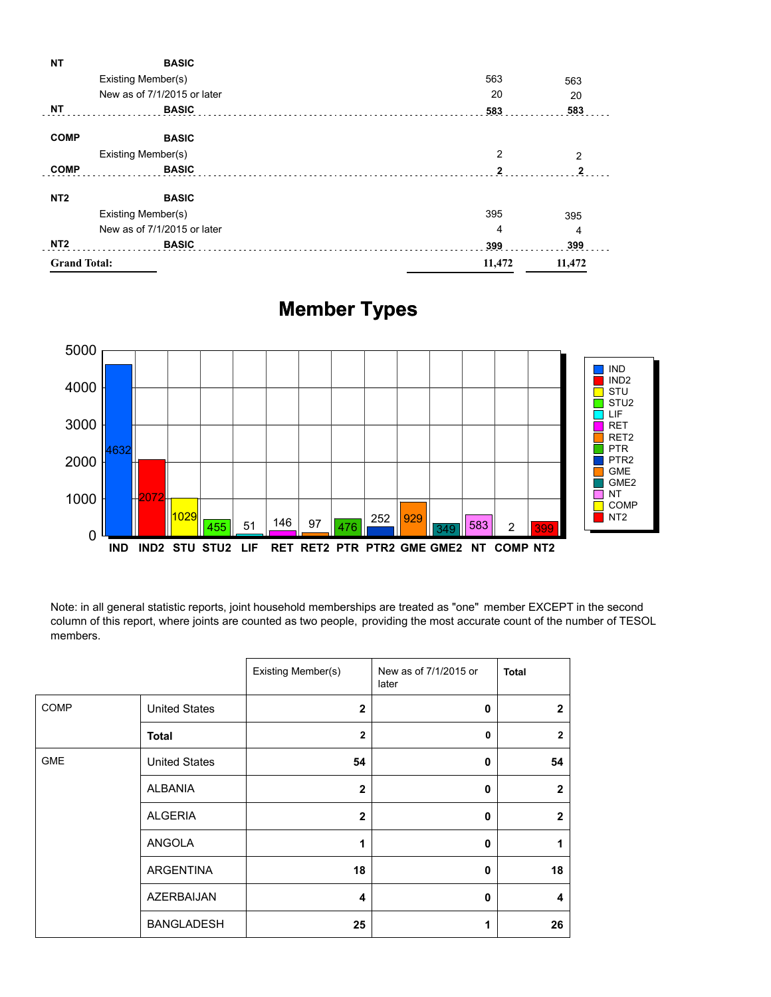| ΝT                  | <b>BASIC</b>                |        |                |
|---------------------|-----------------------------|--------|----------------|
|                     | Existing Member(s)          | 563    | 563            |
|                     | New as of 7/1/2015 or later | 20     | 20             |
| <b>NT</b>           | <b>BASIC</b>                | 583    | 583            |
| <b>COMP</b>         | <b>BASIC</b>                |        |                |
|                     | Existing Member(s)          | 2      | $\overline{2}$ |
| <b>COMP</b>         | <b>BASIC</b>                | 2      | 2              |
| NT <sub>2</sub>     | <b>BASIC</b>                |        |                |
|                     | Existing Member(s)          | 395    | 395            |
|                     | New as of 7/1/2015 or later | 4      | 4              |
| NT <sub>2</sub>     | <b>BASIC</b>                | 399    | 399            |
| <b>Grand Total:</b> |                             | 11,472 | 11,472         |
|                     |                             |        |                |

## **Member Types**



Note: in all general statistic reports, joint household memberships are treated as "one" member EXCEPT in the second column of this report, where joints are counted as two people, providing the most accurate count of the number of TESOL members.

|            |                      | Existing Member(s) | New as of 7/1/2015 or<br>later | <b>Total</b>            |
|------------|----------------------|--------------------|--------------------------------|-------------------------|
| COMP       | <b>United States</b> | $\overline{2}$     | $\mathbf{0}$                   | $\mathbf{2}$            |
|            | <b>Total</b>         | $\overline{2}$     | $\mathbf{0}$                   | $\overline{2}$          |
| <b>GME</b> | <b>United States</b> | 54                 | $\mathbf{0}$                   | 54                      |
|            | <b>ALBANIA</b>       | $\mathbf{2}$       | $\mathbf 0$                    | $\mathbf{2}$            |
|            | <b>ALGERIA</b>       | $\overline{2}$     | $\mathbf{0}$                   | $\mathbf{2}$            |
|            | ANGOLA               | 1                  | $\mathbf{0}$                   | 1                       |
|            | <b>ARGENTINA</b>     | 18                 | $\mathbf{0}$                   | 18                      |
|            | <b>AZERBAIJAN</b>    | 4                  | $\mathbf{0}$                   | $\overline{\mathbf{4}}$ |
|            | <b>BANGLADESH</b>    | 25                 | 1                              | 26                      |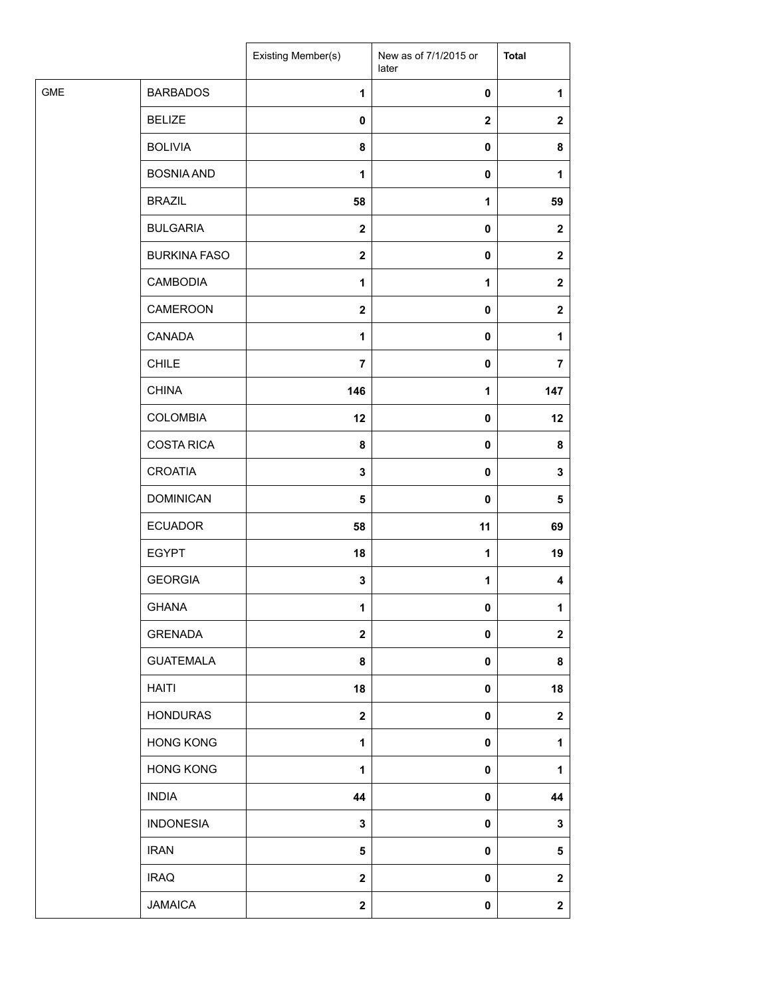|            |                     | Existing Member(s) | New as of 7/1/2015 or<br>later | <b>Total</b> |
|------------|---------------------|--------------------|--------------------------------|--------------|
| <b>GME</b> | <b>BARBADOS</b>     | $\mathbf{1}$       | $\pmb{0}$                      | 1            |
|            | <b>BELIZE</b>       | $\mathbf 0$        | $\mathbf 2$                    | $\mathbf{2}$ |
|            | <b>BOLIVIA</b>      | 8                  | 0                              | 8            |
|            | <b>BOSNIA AND</b>   | $\mathbf{1}$       | 0                              | 1            |
|            | <b>BRAZIL</b>       | 58                 | 1                              | 59           |
|            | <b>BULGARIA</b>     | $\mathbf{2}$       | 0                              | $\mathbf{2}$ |
|            | <b>BURKINA FASO</b> | $\mathbf{2}$       | 0                              | $\mathbf{2}$ |
|            | <b>CAMBODIA</b>     | 1                  | 1                              | $\mathbf{2}$ |
|            | CAMEROON            | $\mathbf{2}$       | 0                              | $\mathbf{2}$ |
|            | CANADA              | 1                  | 0                              | 1            |
|            | <b>CHILE</b>        | $\overline{7}$     | 0                              | 7            |
|            | <b>CHINA</b>        | 146                | $\mathbf 1$                    | 147          |
|            | <b>COLOMBIA</b>     | 12                 | $\pmb{0}$                      | 12           |
|            | <b>COSTA RICA</b>   | 8                  | $\pmb{0}$                      | 8            |
|            | <b>CROATIA</b>      | $\mathbf 3$        | 0                              | 3            |
|            | <b>DOMINICAN</b>    | 5                  | 0                              | 5            |
|            | <b>ECUADOR</b>      | 58                 | 11                             | 69           |
|            | <b>EGYPT</b>        | 18                 | 1                              | 19           |
|            | <b>GEORGIA</b>      | $\mathbf 3$        | 1                              | 4            |
|            | <b>GHANA</b>        | 1                  | 0                              | $\mathbf{1}$ |
|            | <b>GRENADA</b>      | $\boldsymbol{2}$   | $\pmb{0}$                      | $\mathbf 2$  |
|            | <b>GUATEMALA</b>    | 8                  | 0                              | 8            |
|            | <b>HAITI</b>        | 18                 | $\pmb{0}$                      | 18           |
|            | <b>HONDURAS</b>     | $\boldsymbol{2}$   | $\pmb{0}$                      | $\mathbf 2$  |
|            | <b>HONG KONG</b>    | $\mathbf{1}$       | 0                              | 1            |
|            | <b>HONG KONG</b>    | 1                  | 0                              | 1            |
|            | <b>INDIA</b>        | 44                 | $\pmb{0}$                      | 44           |
|            | <b>INDONESIA</b>    | $\mathbf 3$        | 0                              | 3            |
|            | <b>IRAN</b>         | $\sqrt{5}$         | $\pmb{0}$                      | 5            |
|            | <b>IRAQ</b>         | $\mathbf 2$        | 0                              | $\mathbf 2$  |
|            | <b>JAMAICA</b>      | $\mathbf 2$        | 0                              | $\mathbf{2}$ |
|            |                     |                    |                                |              |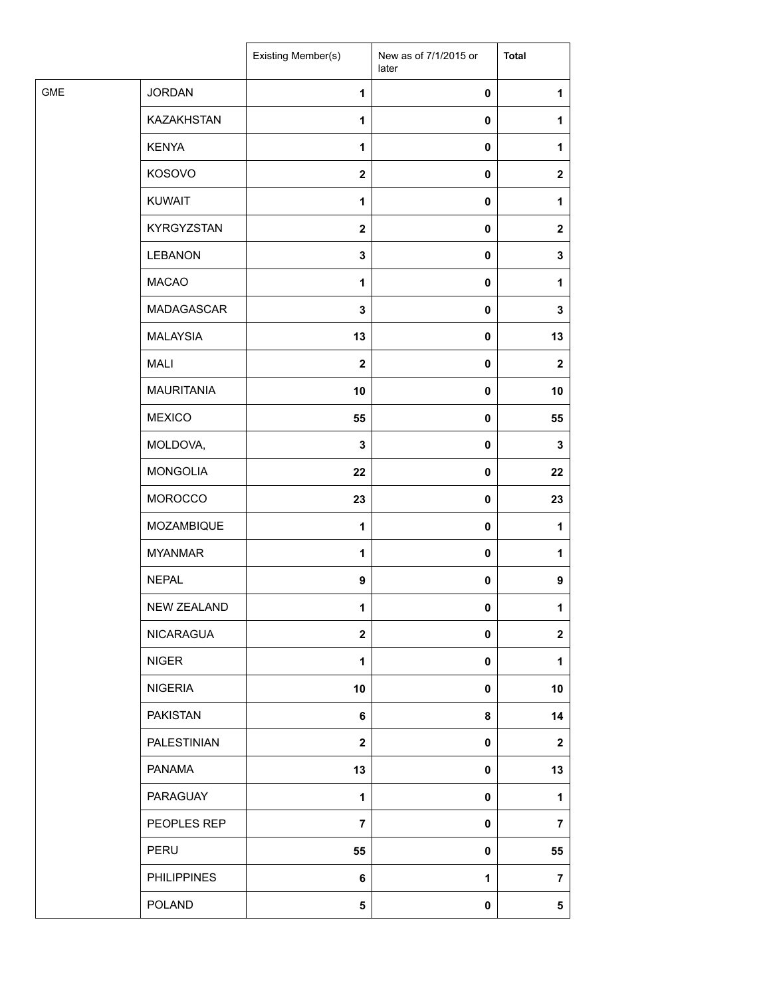|            |                    | Existing Member(s) | New as of 7/1/2015 or<br>later | <b>Total</b>     |
|------------|--------------------|--------------------|--------------------------------|------------------|
| <b>GME</b> | <b>JORDAN</b>      | 1                  | $\pmb{0}$                      | 1                |
|            | <b>KAZAKHSTAN</b>  | $\mathbf{1}$       | $\pmb{0}$                      | 1                |
|            | <b>KENYA</b>       | 1                  | $\pmb{0}$                      | 1                |
|            | KOSOVO             | $\boldsymbol{2}$   | $\pmb{0}$                      | $\mathbf{2}$     |
|            | <b>KUWAIT</b>      | $\mathbf{1}$       | $\pmb{0}$                      | 1                |
|            | KYRGYZSTAN         | $\mathbf{2}$       | $\pmb{0}$                      | $\mathbf{2}$     |
|            | <b>LEBANON</b>     | $\mathbf 3$        | $\pmb{0}$                      | 3                |
|            | <b>MACAO</b>       | 1                  | $\pmb{0}$                      | 1                |
|            | <b>MADAGASCAR</b>  | 3                  | $\pmb{0}$                      | 3                |
|            | <b>MALAYSIA</b>    | 13                 | $\pmb{0}$                      | 13               |
|            | <b>MALI</b>        | $\mathbf{2}$       | $\pmb{0}$                      | $\mathbf{2}$     |
|            | <b>MAURITANIA</b>  | 10                 | $\pmb{0}$                      | 10               |
|            | <b>MEXICO</b>      | 55                 | $\pmb{0}$                      | 55               |
|            | MOLDOVA,           | 3                  | $\pmb{0}$                      | 3                |
|            | <b>MONGOLIA</b>    | 22                 | $\pmb{0}$                      | 22               |
|            | MOROCCO            | 23                 | $\pmb{0}$                      | 23               |
|            | MOZAMBIQUE         | $\mathbf{1}$       | $\pmb{0}$                      | 1                |
|            | <b>MYANMAR</b>     | 1                  | $\pmb{0}$                      | 1                |
|            | <b>NEPAL</b>       | $\boldsymbol{9}$   | $\pmb{0}$                      | $\boldsymbol{9}$ |
|            | <b>NEW ZEALAND</b> | 1                  | 0                              | 1                |
|            | NICARAGUA          | $\mathbf 2$        | $\pmb{0}$                      | $\mathbf{2}$     |
|            | <b>NIGER</b>       | 1                  | $\pmb{0}$                      | 1                |
|            | <b>NIGERIA</b>     | 10                 | $\pmb{0}$                      | 10               |
|            | <b>PAKISTAN</b>    | 6                  | 8                              | 14               |
|            | PALESTINIAN        | $\boldsymbol{2}$   | $\pmb{0}$                      | $\mathbf{2}$     |
|            | <b>PANAMA</b>      | 13                 | $\mathbf 0$                    | 13               |
|            | PARAGUAY           | 1                  | $\pmb{0}$                      | 1                |
|            | PEOPLES REP        | $\overline{7}$     | $\pmb{0}$                      | $\overline{7}$   |
|            | PERU               | 55                 | $\pmb{0}$                      | 55               |
|            | <b>PHILIPPINES</b> | 6                  | 1                              | 7                |
|            | POLAND             | 5                  | 0                              | 5                |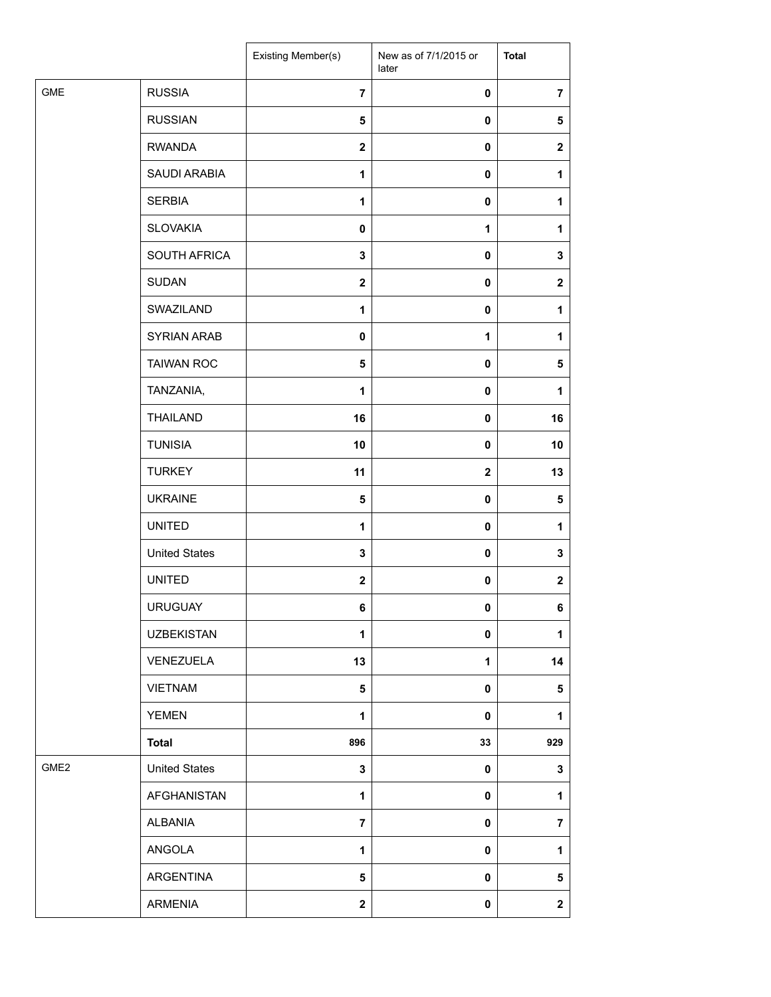|                  |                      | Existing Member(s) | New as of 7/1/2015 or<br>later | <b>Total</b>   |
|------------------|----------------------|--------------------|--------------------------------|----------------|
| <b>GME</b>       | <b>RUSSIA</b>        | $\overline{7}$     | 0                              | $\overline{7}$ |
|                  | <b>RUSSIAN</b>       | 5                  | $\mathbf 0$                    | $\sqrt{5}$     |
|                  | <b>RWANDA</b>        | $\mathbf{2}$       | 0                              | $\mathbf 2$    |
|                  | SAUDI ARABIA         | 1                  | 0                              | 1              |
|                  | <b>SERBIA</b>        | 1                  | $\pmb{0}$                      | 1              |
|                  | <b>SLOVAKIA</b>      | $\mathbf 0$        | 1                              | 1              |
|                  | SOUTH AFRICA         | 3                  | 0                              | 3              |
|                  | <b>SUDAN</b>         | $\mathbf 2$        | 0                              | $\mathbf 2$    |
|                  | SWAZILAND            | 1                  | 0                              | 1              |
|                  | <b>SYRIAN ARAB</b>   | $\mathbf 0$        | 1                              | 1              |
|                  | <b>TAIWAN ROC</b>    | $\sqrt{5}$         | 0                              | 5              |
|                  | TANZANIA,            | 1                  | $\pmb{0}$                      | 1              |
|                  | <b>THAILAND</b>      | 16                 | $\mathbf 0$                    | 16             |
|                  | <b>TUNISIA</b>       | 10                 | $\mathbf 0$                    | 10             |
|                  | <b>TURKEY</b>        | 11                 | $\mathbf 2$                    | 13             |
|                  | <b>UKRAINE</b>       | 5                  | 0                              | 5              |
|                  | <b>UNITED</b>        | $\mathbf{1}$       | $\pmb{0}$                      | 1              |
|                  | <b>United States</b> | $\mathbf 3$        | 0                              | $\mathbf 3$    |
|                  | <b>UNITED</b>        | $\boldsymbol{2}$   | 0                              | $\mathbf 2$    |
|                  | <b>URUGUAY</b>       | 6                  | 0                              | 6              |
|                  | <b>UZBEKISTAN</b>    | 1                  | 0                              | 1              |
|                  | VENEZUELA            | 13                 | 1                              | 14             |
|                  | <b>VIETNAM</b>       | $5\phantom{.0}$    | $\pmb{0}$                      | 5              |
|                  | <b>YEMEN</b>         | 1                  | 0                              | $\mathbf{1}$   |
|                  | <b>Total</b>         | 896                | 33                             | 929            |
| GME <sub>2</sub> | <b>United States</b> | 3                  | $\mathbf 0$                    | 3              |
|                  | AFGHANISTAN          | 1                  | 0                              | $\mathbf{1}$   |
|                  | <b>ALBANIA</b>       | $\overline{7}$     | 0                              | $\overline{7}$ |
|                  | ANGOLA               | $\mathbf{1}$       | 0                              | 1              |
|                  | ARGENTINA            | 5                  | 0                              | 5              |
|                  | <b>ARMENIA</b>       | $\mathbf 2$        | $\pmb{0}$                      | $\mathbf 2$    |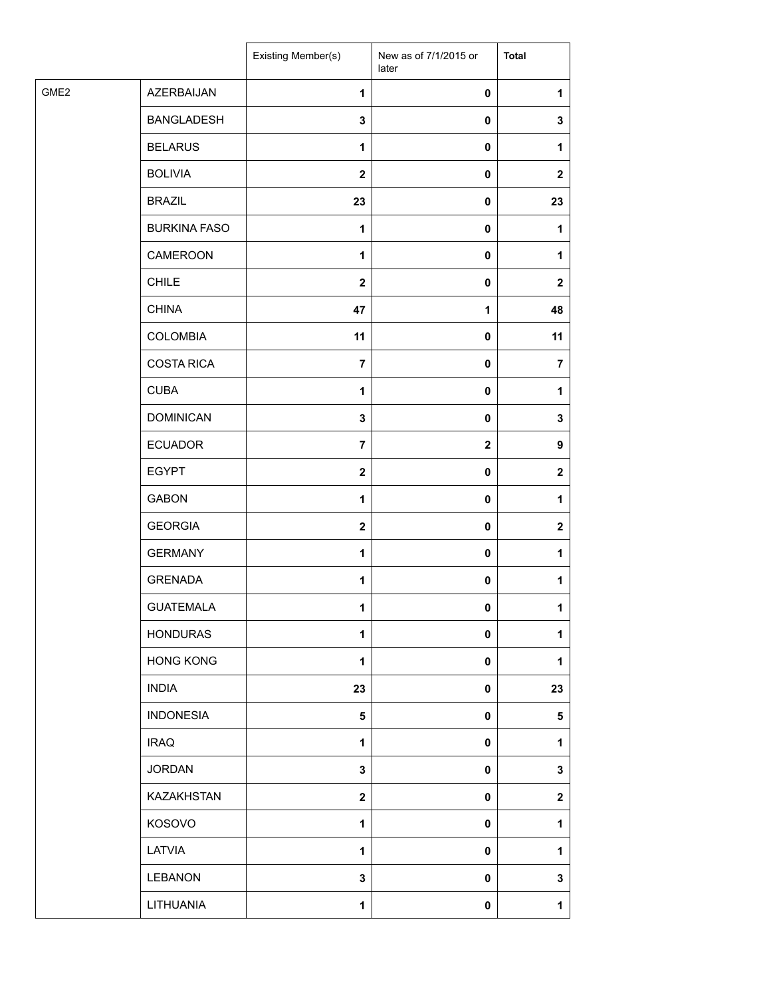|      |                     | Existing Member(s)      | New as of 7/1/2015 or<br>later | <b>Total</b>   |
|------|---------------------|-------------------------|--------------------------------|----------------|
| GME2 | AZERBAIJAN          | $\mathbf{1}$            | 0                              | 1              |
|      | <b>BANGLADESH</b>   | $\mathbf 3$             | $\pmb{0}$                      | $\mathbf 3$    |
|      | <b>BELARUS</b>      | 1                       | $\pmb{0}$                      | 1              |
|      | <b>BOLIVIA</b>      | $\mathbf{2}$            | 0                              | $\mathbf{2}$   |
|      | <b>BRAZIL</b>       | 23                      | 0                              | 23             |
|      | <b>BURKINA FASO</b> | $\mathbf{1}$            | 0                              | 1              |
|      | CAMEROON            | $\mathbf{1}$            | 0                              | 1              |
|      | <b>CHILE</b>        | $\mathbf{2}$            | $\pmb{0}$                      | $\mathbf{2}$   |
|      | <b>CHINA</b>        | 47                      | 1                              | 48             |
|      | <b>COLOMBIA</b>     | 11                      | 0                              | 11             |
|      | <b>COSTA RICA</b>   | $\overline{7}$          | 0                              | $\overline{7}$ |
|      | <b>CUBA</b>         | 1                       | $\pmb{0}$                      | 1              |
|      | <b>DOMINICAN</b>    | $\mathbf 3$             | 0                              | 3              |
|      | <b>ECUADOR</b>      | $\overline{7}$          | $\mathbf 2$                    | 9              |
|      | <b>EGYPT</b>        | $\mathbf{2}$            | 0                              | $\mathbf{2}$   |
|      | <b>GABON</b>        | 1                       | 0                              | 1              |
|      | <b>GEORGIA</b>      | $\boldsymbol{2}$        | 0                              | $\mathbf{2}$   |
|      | <b>GERMANY</b>      | 1                       | 0                              | 1              |
|      | <b>GRENADA</b>      | 1                       | 0                              | 1              |
|      | <b>GUATEMALA</b>    | 1                       | 0                              | 1              |
|      | <b>HONDURAS</b>     | 1                       | 0                              | 1              |
|      | <b>HONG KONG</b>    | $\mathbf 1$             | 0                              | 1              |
|      | <b>INDIA</b>        | 23                      | 0                              | 23             |
|      | <b>INDONESIA</b>    | $\overline{\mathbf{5}}$ | 0                              | 5              |
|      | <b>IRAQ</b>         | 1                       | 0                              | 1              |
|      | <b>JORDAN</b>       | $\mathbf{3}$            | 0                              | $\mathbf{3}$   |
|      | KAZAKHSTAN          | $\boldsymbol{2}$        | 0                              | $\mathbf 2$    |
|      | KOSOVO              | $\mathbf{1}$            | 0                              | 1              |
|      | LATVIA              | $\mathbf{1}$            | 0                              | 1              |
|      | LEBANON             | 3                       | 0                              | 3              |
|      | LITHUANIA           | $\mathbf{1}$            | $\pmb{0}$                      | $\mathbf{1}$   |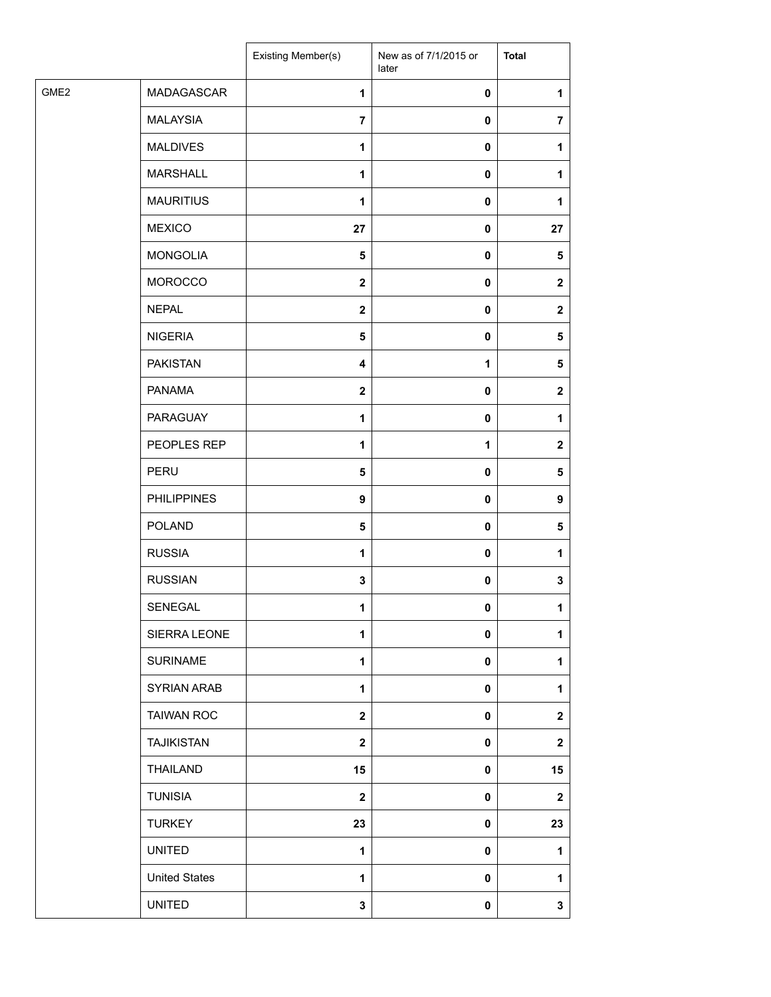| MADAGASCAR<br>$\mathbf{1}$<br>0<br>1<br><b>MALAYSIA</b><br>$\overline{7}$<br>0<br>$\overline{7}$<br><b>MALDIVES</b><br>1<br>0<br>1<br><b>MARSHALL</b><br>$\mathbf{1}$<br>0<br>1<br><b>MAURITIUS</b><br>1<br>0<br>1<br><b>MEXICO</b><br>27<br>0<br>27<br><b>MONGOLIA</b><br>5<br>0<br>5<br><b>MOROCCO</b><br>$\mathbf{2}$<br>0<br>$\mathbf{2}$<br><b>NEPAL</b><br>$\mathbf{2}$<br>0<br>$\mathbf{2}$<br><b>NIGERIA</b><br>5<br>0<br>5<br><b>PAKISTAN</b><br>1<br>5<br>4<br><b>PANAMA</b><br>$\overline{\mathbf{2}}$<br>0<br>$\mathbf{2}$<br>PARAGUAY<br>1<br>0<br>1<br>PEOPLES REP<br>$\mathbf{1}$<br>1<br>$\mathbf{2}$<br>PERU<br>5<br>0<br>5<br><b>PHILIPPINES</b><br>$\boldsymbol{9}$<br>0<br>9<br><b>POLAND</b><br>5<br>0<br>5<br><b>RUSSIA</b><br>1<br>0<br>1<br><b>RUSSIAN</b><br>$\mathbf 3$<br>0<br>3<br>SENEGAL<br>1<br>$\mathbf{0}$<br>1<br>SIERRA LEONE<br>1<br>0<br>1<br><b>SURINAME</b><br>$\mathbf{1}$<br>0<br>1<br><b>SYRIAN ARAB</b><br>$\mathbf{1}$<br>0<br>1<br><b>TAIWAN ROC</b><br>$\overline{\mathbf{2}}$<br>0<br>$\mathbf 2$<br><b>TAJIKISTAN</b><br>$\mathbf{2}$<br>0<br>$\mathbf{2}$<br>THAILAND<br>15<br>15<br>0<br><b>TUNISIA</b><br>$\mathbf{2}$<br>0<br>$\mathbf 2$<br><b>TURKEY</b><br>23<br>0<br>23<br><b>UNITED</b><br>1<br>0<br>1<br><b>United States</b><br>1<br>0<br>1<br><b>UNITED</b><br>$\mathbf 3$<br>0<br>3 |                  | Existing Member(s) | New as of 7/1/2015 or<br>later | <b>Total</b> |
|--------------------------------------------------------------------------------------------------------------------------------------------------------------------------------------------------------------------------------------------------------------------------------------------------------------------------------------------------------------------------------------------------------------------------------------------------------------------------------------------------------------------------------------------------------------------------------------------------------------------------------------------------------------------------------------------------------------------------------------------------------------------------------------------------------------------------------------------------------------------------------------------------------------------------------------------------------------------------------------------------------------------------------------------------------------------------------------------------------------------------------------------------------------------------------------------------------------------------------------------------------------------------------------------------------------------------------------------------|------------------|--------------------|--------------------------------|--------------|
|                                                                                                                                                                                                                                                                                                                                                                                                                                                                                                                                                                                                                                                                                                                                                                                                                                                                                                                                                                                                                                                                                                                                                                                                                                                                                                                                                  | GME <sub>2</sub> |                    |                                |              |
|                                                                                                                                                                                                                                                                                                                                                                                                                                                                                                                                                                                                                                                                                                                                                                                                                                                                                                                                                                                                                                                                                                                                                                                                                                                                                                                                                  |                  |                    |                                |              |
|                                                                                                                                                                                                                                                                                                                                                                                                                                                                                                                                                                                                                                                                                                                                                                                                                                                                                                                                                                                                                                                                                                                                                                                                                                                                                                                                                  |                  |                    |                                |              |
|                                                                                                                                                                                                                                                                                                                                                                                                                                                                                                                                                                                                                                                                                                                                                                                                                                                                                                                                                                                                                                                                                                                                                                                                                                                                                                                                                  |                  |                    |                                |              |
|                                                                                                                                                                                                                                                                                                                                                                                                                                                                                                                                                                                                                                                                                                                                                                                                                                                                                                                                                                                                                                                                                                                                                                                                                                                                                                                                                  |                  |                    |                                |              |
|                                                                                                                                                                                                                                                                                                                                                                                                                                                                                                                                                                                                                                                                                                                                                                                                                                                                                                                                                                                                                                                                                                                                                                                                                                                                                                                                                  |                  |                    |                                |              |
|                                                                                                                                                                                                                                                                                                                                                                                                                                                                                                                                                                                                                                                                                                                                                                                                                                                                                                                                                                                                                                                                                                                                                                                                                                                                                                                                                  |                  |                    |                                |              |
|                                                                                                                                                                                                                                                                                                                                                                                                                                                                                                                                                                                                                                                                                                                                                                                                                                                                                                                                                                                                                                                                                                                                                                                                                                                                                                                                                  |                  |                    |                                |              |
|                                                                                                                                                                                                                                                                                                                                                                                                                                                                                                                                                                                                                                                                                                                                                                                                                                                                                                                                                                                                                                                                                                                                                                                                                                                                                                                                                  |                  |                    |                                |              |
|                                                                                                                                                                                                                                                                                                                                                                                                                                                                                                                                                                                                                                                                                                                                                                                                                                                                                                                                                                                                                                                                                                                                                                                                                                                                                                                                                  |                  |                    |                                |              |
|                                                                                                                                                                                                                                                                                                                                                                                                                                                                                                                                                                                                                                                                                                                                                                                                                                                                                                                                                                                                                                                                                                                                                                                                                                                                                                                                                  |                  |                    |                                |              |
|                                                                                                                                                                                                                                                                                                                                                                                                                                                                                                                                                                                                                                                                                                                                                                                                                                                                                                                                                                                                                                                                                                                                                                                                                                                                                                                                                  |                  |                    |                                |              |
|                                                                                                                                                                                                                                                                                                                                                                                                                                                                                                                                                                                                                                                                                                                                                                                                                                                                                                                                                                                                                                                                                                                                                                                                                                                                                                                                                  |                  |                    |                                |              |
|                                                                                                                                                                                                                                                                                                                                                                                                                                                                                                                                                                                                                                                                                                                                                                                                                                                                                                                                                                                                                                                                                                                                                                                                                                                                                                                                                  |                  |                    |                                |              |
|                                                                                                                                                                                                                                                                                                                                                                                                                                                                                                                                                                                                                                                                                                                                                                                                                                                                                                                                                                                                                                                                                                                                                                                                                                                                                                                                                  |                  |                    |                                |              |
|                                                                                                                                                                                                                                                                                                                                                                                                                                                                                                                                                                                                                                                                                                                                                                                                                                                                                                                                                                                                                                                                                                                                                                                                                                                                                                                                                  |                  |                    |                                |              |
|                                                                                                                                                                                                                                                                                                                                                                                                                                                                                                                                                                                                                                                                                                                                                                                                                                                                                                                                                                                                                                                                                                                                                                                                                                                                                                                                                  |                  |                    |                                |              |
|                                                                                                                                                                                                                                                                                                                                                                                                                                                                                                                                                                                                                                                                                                                                                                                                                                                                                                                                                                                                                                                                                                                                                                                                                                                                                                                                                  |                  |                    |                                |              |
|                                                                                                                                                                                                                                                                                                                                                                                                                                                                                                                                                                                                                                                                                                                                                                                                                                                                                                                                                                                                                                                                                                                                                                                                                                                                                                                                                  |                  |                    |                                |              |
|                                                                                                                                                                                                                                                                                                                                                                                                                                                                                                                                                                                                                                                                                                                                                                                                                                                                                                                                                                                                                                                                                                                                                                                                                                                                                                                                                  |                  |                    |                                |              |
|                                                                                                                                                                                                                                                                                                                                                                                                                                                                                                                                                                                                                                                                                                                                                                                                                                                                                                                                                                                                                                                                                                                                                                                                                                                                                                                                                  |                  |                    |                                |              |
|                                                                                                                                                                                                                                                                                                                                                                                                                                                                                                                                                                                                                                                                                                                                                                                                                                                                                                                                                                                                                                                                                                                                                                                                                                                                                                                                                  |                  |                    |                                |              |
|                                                                                                                                                                                                                                                                                                                                                                                                                                                                                                                                                                                                                                                                                                                                                                                                                                                                                                                                                                                                                                                                                                                                                                                                                                                                                                                                                  |                  |                    |                                |              |
|                                                                                                                                                                                                                                                                                                                                                                                                                                                                                                                                                                                                                                                                                                                                                                                                                                                                                                                                                                                                                                                                                                                                                                                                                                                                                                                                                  |                  |                    |                                |              |
|                                                                                                                                                                                                                                                                                                                                                                                                                                                                                                                                                                                                                                                                                                                                                                                                                                                                                                                                                                                                                                                                                                                                                                                                                                                                                                                                                  |                  |                    |                                |              |
|                                                                                                                                                                                                                                                                                                                                                                                                                                                                                                                                                                                                                                                                                                                                                                                                                                                                                                                                                                                                                                                                                                                                                                                                                                                                                                                                                  |                  |                    |                                |              |
|                                                                                                                                                                                                                                                                                                                                                                                                                                                                                                                                                                                                                                                                                                                                                                                                                                                                                                                                                                                                                                                                                                                                                                                                                                                                                                                                                  |                  |                    |                                |              |
|                                                                                                                                                                                                                                                                                                                                                                                                                                                                                                                                                                                                                                                                                                                                                                                                                                                                                                                                                                                                                                                                                                                                                                                                                                                                                                                                                  |                  |                    |                                |              |
|                                                                                                                                                                                                                                                                                                                                                                                                                                                                                                                                                                                                                                                                                                                                                                                                                                                                                                                                                                                                                                                                                                                                                                                                                                                                                                                                                  |                  |                    |                                |              |
|                                                                                                                                                                                                                                                                                                                                                                                                                                                                                                                                                                                                                                                                                                                                                                                                                                                                                                                                                                                                                                                                                                                                                                                                                                                                                                                                                  |                  |                    |                                |              |
|                                                                                                                                                                                                                                                                                                                                                                                                                                                                                                                                                                                                                                                                                                                                                                                                                                                                                                                                                                                                                                                                                                                                                                                                                                                                                                                                                  |                  |                    |                                |              |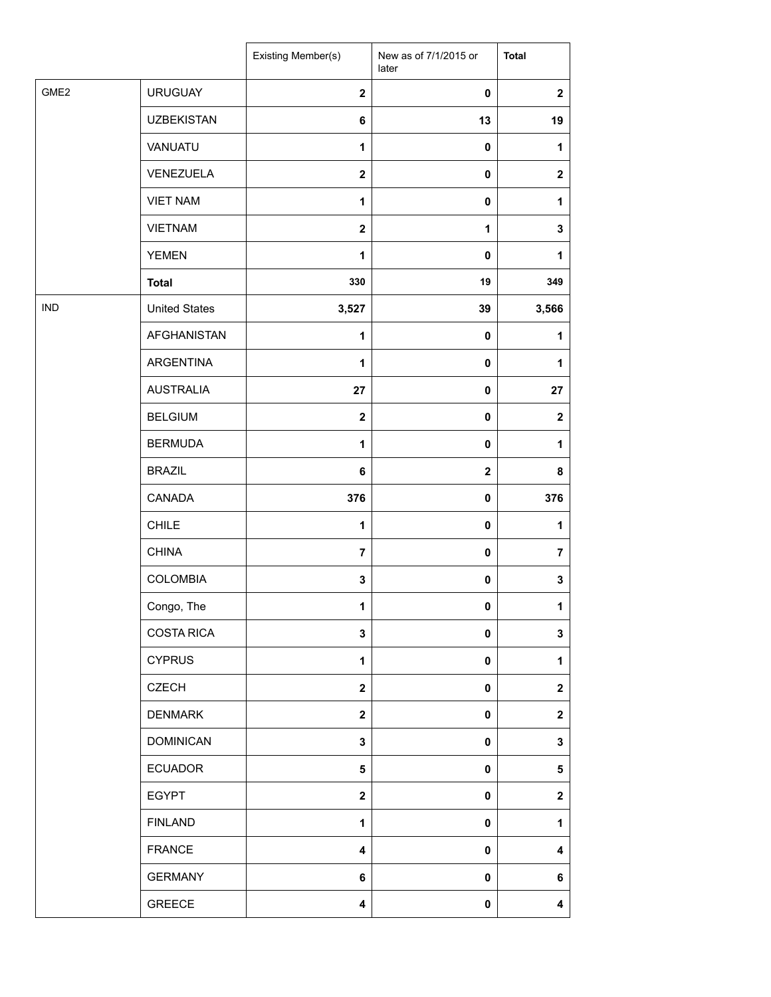|                  |                      | Existing Member(s)      | New as of 7/1/2015 or<br>later | <b>Total</b> |
|------------------|----------------------|-------------------------|--------------------------------|--------------|
| GME <sub>2</sub> | <b>URUGUAY</b>       | $\overline{\mathbf{2}}$ | $\pmb{0}$                      | $\mathbf 2$  |
|                  | <b>UZBEKISTAN</b>    | 6                       | 13                             | 19           |
|                  | VANUATU              | $\mathbf{1}$            | $\pmb{0}$                      | 1            |
|                  | VENEZUELA            | $\mathbf{2}$            | 0                              | $\mathbf 2$  |
|                  | <b>VIET NAM</b>      | 1                       | 0                              | 1            |
|                  | <b>VIETNAM</b>       | $\overline{\mathbf{2}}$ | 1                              | 3            |
|                  | <b>YEMEN</b>         | $\mathbf{1}$            | 0                              | 1            |
|                  | <b>Total</b>         | 330                     | 19                             | 349          |
| <b>IND</b>       | <b>United States</b> | 3,527                   | 39                             | 3,566        |
|                  | <b>AFGHANISTAN</b>   | 1                       | 0                              | 1            |
|                  | ARGENTINA            | $\mathbf{1}$            | $\mathbf 0$                    | 1            |
|                  | <b>AUSTRALIA</b>     | 27                      | $\pmb{0}$                      | 27           |
|                  | <b>BELGIUM</b>       | $\mathbf 2$             | 0                              | $\mathbf 2$  |
|                  | <b>BERMUDA</b>       | $\mathbf{1}$            | 0                              | 1            |
|                  | <b>BRAZIL</b>        | 6                       | $\mathbf 2$                    | 8            |
|                  | CANADA               | 376                     | 0                              | 376          |
|                  | <b>CHILE</b>         | 1                       | $\mathbf 0$                    | 1            |
|                  | <b>CHINA</b>         | $\overline{7}$          | 0                              | 7            |
|                  | <b>COLOMBIA</b>      | $\mathbf 3$             | 0                              | 3            |
|                  | Congo, The           | 1                       | 0                              | 1            |
|                  | <b>COSTA RICA</b>    | 3                       | 0                              | 3            |
|                  | <b>CYPRUS</b>        | 1                       | 0                              | 1            |
|                  | <b>CZECH</b>         | $\mathbf{2}$            | 0                              | $\mathbf{2}$ |
|                  | <b>DENMARK</b>       | $\mathbf{2}$            | 0                              | $\mathbf 2$  |
|                  | <b>DOMINICAN</b>     | 3                       | 0                              | 3            |
|                  | <b>ECUADOR</b>       | 5                       | 0                              | 5            |
|                  | <b>EGYPT</b>         | $\mathbf 2$             | 0                              | $\mathbf 2$  |
|                  | <b>FINLAND</b>       | $\mathbf{1}$            | 0                              | 1            |
|                  | <b>FRANCE</b>        | 4                       | 0                              | 4            |
|                  | <b>GERMANY</b>       | 6                       | 0                              | 6            |
|                  | GREECE               | 4                       | 0                              | 4            |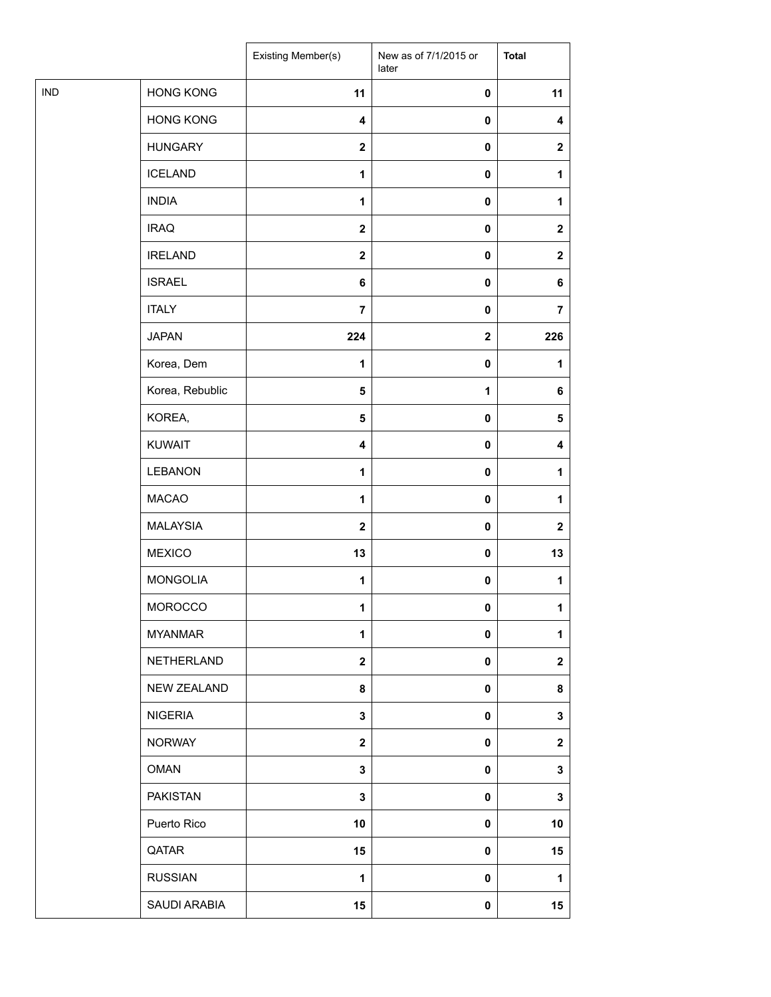| <b>HONG KONG</b><br>11<br>$\pmb{0}$<br>11<br><b>HONG KONG</b><br>$\overline{\mathbf{4}}$<br>$\pmb{0}$<br>4<br><b>HUNGARY</b><br>$\boldsymbol{2}$<br>$\pmb{0}$<br>$\mathbf{2}$<br><b>ICELAND</b><br>$\mathbf{1}$<br>$\pmb{0}$<br>1<br><b>INDIA</b><br>1<br>0<br>1<br><b>IRAQ</b><br>$\mathbf{2}$<br>$\pmb{0}$<br>$\mathbf{2}$<br><b>IRELAND</b><br>$\mathbf 2$<br>$\pmb{0}$<br>$\mathbf{2}$<br><b>ISRAEL</b><br>6<br>$\pmb{0}$<br>6<br><b>ITALY</b><br>$\overline{7}$<br>$\pmb{0}$<br>$\overline{7}$<br><b>JAPAN</b><br>224<br>226<br>$\boldsymbol{2}$<br>Korea, Dem<br>1<br>$\pmb{0}$<br>1<br>Korea, Rebublic<br>$\overline{\mathbf{5}}$<br>$\mathbf{1}$<br>6<br>KOREA,<br>$\pmb{0}$<br>5<br>5<br><b>KUWAIT</b><br>4<br>$\pmb{0}$<br>4<br><b>LEBANON</b><br>1<br>$\pmb{0}$<br>1<br><b>MACAO</b><br>$\mathbf{1}$<br>$\pmb{0}$<br>1<br>MALAYSIA<br>$\mathbf{2}$<br>$\pmb{0}$<br>$\mathbf{2}$<br><b>MEXICO</b><br>13<br>13<br>$\pmb{0}$<br><b>MONGOLIA</b><br>$\mathbf{1}$<br>$\pmb{0}$<br>1<br><b>MOROCCO</b><br>1<br>$\mathbf 0$<br>1<br><b>MYANMAR</b><br>1<br>$\pmb{0}$<br>1<br>NETHERLAND<br>$\mathbf{2}$<br>$\pmb{0}$<br>$\mathbf{2}$<br>NEW ZEALAND<br>8<br>$\pmb{0}$<br>8<br><b>NIGERIA</b><br>$\mathbf 3$<br>$\pmb{0}$<br>3<br><b>NORWAY</b><br>$\mathbf{2}$<br>$\pmb{0}$<br>$\mathbf{2}$<br><b>OMAN</b><br>3<br>3<br>0<br><b>PAKISTAN</b><br>3<br>$\pmb{0}$<br>3<br>Puerto Rico<br>10<br>10<br>$\pmb{0}$<br>QATAR<br>15<br>15<br>0<br><b>RUSSIAN</b><br>1<br>$\pmb{0}$<br>1<br>SAUDI ARABIA<br>15<br>$\pmb{0}$<br>15 |            | Existing Member(s) | New as of 7/1/2015 or<br>later | <b>Total</b> |
|-----------------------------------------------------------------------------------------------------------------------------------------------------------------------------------------------------------------------------------------------------------------------------------------------------------------------------------------------------------------------------------------------------------------------------------------------------------------------------------------------------------------------------------------------------------------------------------------------------------------------------------------------------------------------------------------------------------------------------------------------------------------------------------------------------------------------------------------------------------------------------------------------------------------------------------------------------------------------------------------------------------------------------------------------------------------------------------------------------------------------------------------------------------------------------------------------------------------------------------------------------------------------------------------------------------------------------------------------------------------------------------------------------------------------------------------------------------------------------------------------------------------------------|------------|--------------------|--------------------------------|--------------|
|                                                                                                                                                                                                                                                                                                                                                                                                                                                                                                                                                                                                                                                                                                                                                                                                                                                                                                                                                                                                                                                                                                                                                                                                                                                                                                                                                                                                                                                                                                                             | <b>IND</b> |                    |                                |              |
|                                                                                                                                                                                                                                                                                                                                                                                                                                                                                                                                                                                                                                                                                                                                                                                                                                                                                                                                                                                                                                                                                                                                                                                                                                                                                                                                                                                                                                                                                                                             |            |                    |                                |              |
|                                                                                                                                                                                                                                                                                                                                                                                                                                                                                                                                                                                                                                                                                                                                                                                                                                                                                                                                                                                                                                                                                                                                                                                                                                                                                                                                                                                                                                                                                                                             |            |                    |                                |              |
|                                                                                                                                                                                                                                                                                                                                                                                                                                                                                                                                                                                                                                                                                                                                                                                                                                                                                                                                                                                                                                                                                                                                                                                                                                                                                                                                                                                                                                                                                                                             |            |                    |                                |              |
|                                                                                                                                                                                                                                                                                                                                                                                                                                                                                                                                                                                                                                                                                                                                                                                                                                                                                                                                                                                                                                                                                                                                                                                                                                                                                                                                                                                                                                                                                                                             |            |                    |                                |              |
|                                                                                                                                                                                                                                                                                                                                                                                                                                                                                                                                                                                                                                                                                                                                                                                                                                                                                                                                                                                                                                                                                                                                                                                                                                                                                                                                                                                                                                                                                                                             |            |                    |                                |              |
|                                                                                                                                                                                                                                                                                                                                                                                                                                                                                                                                                                                                                                                                                                                                                                                                                                                                                                                                                                                                                                                                                                                                                                                                                                                                                                                                                                                                                                                                                                                             |            |                    |                                |              |
|                                                                                                                                                                                                                                                                                                                                                                                                                                                                                                                                                                                                                                                                                                                                                                                                                                                                                                                                                                                                                                                                                                                                                                                                                                                                                                                                                                                                                                                                                                                             |            |                    |                                |              |
|                                                                                                                                                                                                                                                                                                                                                                                                                                                                                                                                                                                                                                                                                                                                                                                                                                                                                                                                                                                                                                                                                                                                                                                                                                                                                                                                                                                                                                                                                                                             |            |                    |                                |              |
|                                                                                                                                                                                                                                                                                                                                                                                                                                                                                                                                                                                                                                                                                                                                                                                                                                                                                                                                                                                                                                                                                                                                                                                                                                                                                                                                                                                                                                                                                                                             |            |                    |                                |              |
|                                                                                                                                                                                                                                                                                                                                                                                                                                                                                                                                                                                                                                                                                                                                                                                                                                                                                                                                                                                                                                                                                                                                                                                                                                                                                                                                                                                                                                                                                                                             |            |                    |                                |              |
|                                                                                                                                                                                                                                                                                                                                                                                                                                                                                                                                                                                                                                                                                                                                                                                                                                                                                                                                                                                                                                                                                                                                                                                                                                                                                                                                                                                                                                                                                                                             |            |                    |                                |              |
|                                                                                                                                                                                                                                                                                                                                                                                                                                                                                                                                                                                                                                                                                                                                                                                                                                                                                                                                                                                                                                                                                                                                                                                                                                                                                                                                                                                                                                                                                                                             |            |                    |                                |              |
|                                                                                                                                                                                                                                                                                                                                                                                                                                                                                                                                                                                                                                                                                                                                                                                                                                                                                                                                                                                                                                                                                                                                                                                                                                                                                                                                                                                                                                                                                                                             |            |                    |                                |              |
|                                                                                                                                                                                                                                                                                                                                                                                                                                                                                                                                                                                                                                                                                                                                                                                                                                                                                                                                                                                                                                                                                                                                                                                                                                                                                                                                                                                                                                                                                                                             |            |                    |                                |              |
|                                                                                                                                                                                                                                                                                                                                                                                                                                                                                                                                                                                                                                                                                                                                                                                                                                                                                                                                                                                                                                                                                                                                                                                                                                                                                                                                                                                                                                                                                                                             |            |                    |                                |              |
|                                                                                                                                                                                                                                                                                                                                                                                                                                                                                                                                                                                                                                                                                                                                                                                                                                                                                                                                                                                                                                                                                                                                                                                                                                                                                                                                                                                                                                                                                                                             |            |                    |                                |              |
|                                                                                                                                                                                                                                                                                                                                                                                                                                                                                                                                                                                                                                                                                                                                                                                                                                                                                                                                                                                                                                                                                                                                                                                                                                                                                                                                                                                                                                                                                                                             |            |                    |                                |              |
|                                                                                                                                                                                                                                                                                                                                                                                                                                                                                                                                                                                                                                                                                                                                                                                                                                                                                                                                                                                                                                                                                                                                                                                                                                                                                                                                                                                                                                                                                                                             |            |                    |                                |              |
|                                                                                                                                                                                                                                                                                                                                                                                                                                                                                                                                                                                                                                                                                                                                                                                                                                                                                                                                                                                                                                                                                                                                                                                                                                                                                                                                                                                                                                                                                                                             |            |                    |                                |              |
|                                                                                                                                                                                                                                                                                                                                                                                                                                                                                                                                                                                                                                                                                                                                                                                                                                                                                                                                                                                                                                                                                                                                                                                                                                                                                                                                                                                                                                                                                                                             |            |                    |                                |              |
|                                                                                                                                                                                                                                                                                                                                                                                                                                                                                                                                                                                                                                                                                                                                                                                                                                                                                                                                                                                                                                                                                                                                                                                                                                                                                                                                                                                                                                                                                                                             |            |                    |                                |              |
|                                                                                                                                                                                                                                                                                                                                                                                                                                                                                                                                                                                                                                                                                                                                                                                                                                                                                                                                                                                                                                                                                                                                                                                                                                                                                                                                                                                                                                                                                                                             |            |                    |                                |              |
|                                                                                                                                                                                                                                                                                                                                                                                                                                                                                                                                                                                                                                                                                                                                                                                                                                                                                                                                                                                                                                                                                                                                                                                                                                                                                                                                                                                                                                                                                                                             |            |                    |                                |              |
|                                                                                                                                                                                                                                                                                                                                                                                                                                                                                                                                                                                                                                                                                                                                                                                                                                                                                                                                                                                                                                                                                                                                                                                                                                                                                                                                                                                                                                                                                                                             |            |                    |                                |              |
|                                                                                                                                                                                                                                                                                                                                                                                                                                                                                                                                                                                                                                                                                                                                                                                                                                                                                                                                                                                                                                                                                                                                                                                                                                                                                                                                                                                                                                                                                                                             |            |                    |                                |              |
|                                                                                                                                                                                                                                                                                                                                                                                                                                                                                                                                                                                                                                                                                                                                                                                                                                                                                                                                                                                                                                                                                                                                                                                                                                                                                                                                                                                                                                                                                                                             |            |                    |                                |              |
|                                                                                                                                                                                                                                                                                                                                                                                                                                                                                                                                                                                                                                                                                                                                                                                                                                                                                                                                                                                                                                                                                                                                                                                                                                                                                                                                                                                                                                                                                                                             |            |                    |                                |              |
|                                                                                                                                                                                                                                                                                                                                                                                                                                                                                                                                                                                                                                                                                                                                                                                                                                                                                                                                                                                                                                                                                                                                                                                                                                                                                                                                                                                                                                                                                                                             |            |                    |                                |              |
|                                                                                                                                                                                                                                                                                                                                                                                                                                                                                                                                                                                                                                                                                                                                                                                                                                                                                                                                                                                                                                                                                                                                                                                                                                                                                                                                                                                                                                                                                                                             |            |                    |                                |              |
|                                                                                                                                                                                                                                                                                                                                                                                                                                                                                                                                                                                                                                                                                                                                                                                                                                                                                                                                                                                                                                                                                                                                                                                                                                                                                                                                                                                                                                                                                                                             |            |                    |                                |              |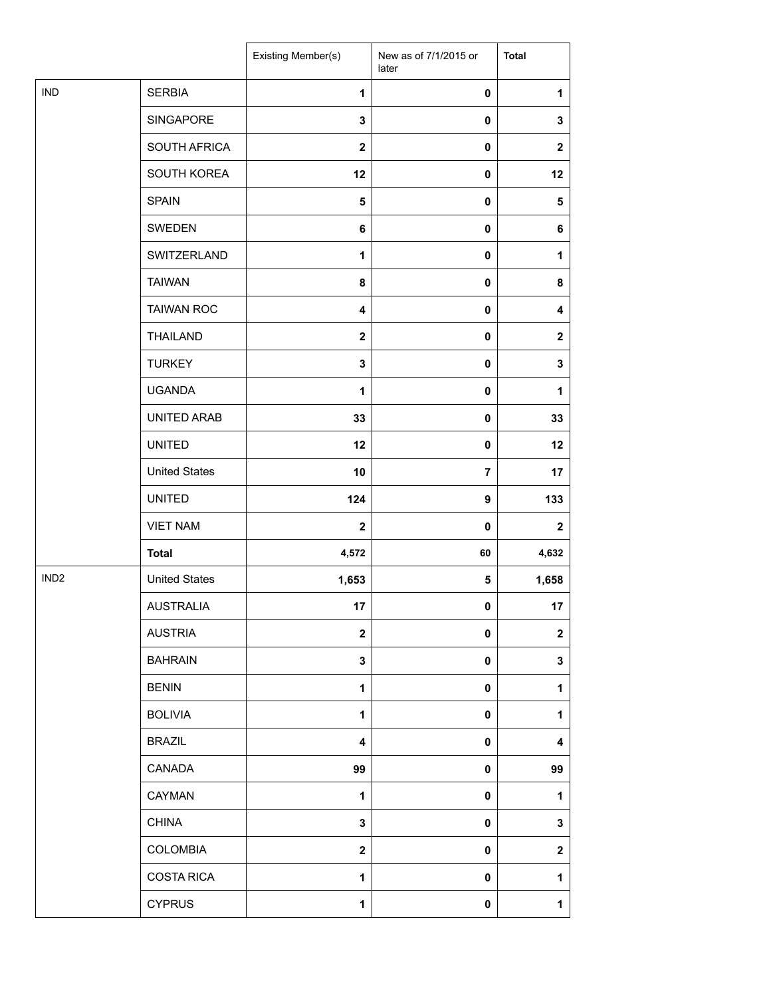|                  |                      | Existing Member(s)      | New as of 7/1/2015 or<br>later | <b>Total</b>     |
|------------------|----------------------|-------------------------|--------------------------------|------------------|
| <b>IND</b>       | <b>SERBIA</b>        | $\mathbf{1}$            | 0                              | $\mathbf{1}$     |
|                  | SINGAPORE            | 3                       | 0                              | 3                |
|                  | SOUTH AFRICA         | $\mathbf{2}$            | 0                              | $\mathbf 2$      |
|                  | SOUTH KOREA          | 12                      | 0                              | 12               |
|                  | <b>SPAIN</b>         | 5                       | 0                              | 5                |
|                  | SWEDEN               | 6                       | 0                              | 6                |
|                  | SWITZERLAND          | $\mathbf{1}$            | 0                              | 1                |
|                  | <b>TAIWAN</b>        | 8                       | 0                              | 8                |
|                  | <b>TAIWAN ROC</b>    | 4                       | 0                              | 4                |
|                  | <b>THAILAND</b>      | $\mathbf{2}$            | 0                              | $\mathbf{2}$     |
|                  | <b>TURKEY</b>        | 3                       | 0                              | 3                |
|                  | <b>UGANDA</b>        | $\mathbf{1}$            | 0                              | 1                |
|                  | UNITED ARAB          | 33                      | 0                              | 33               |
|                  | <b>UNITED</b>        | 12                      | 0                              | 12               |
|                  | <b>United States</b> | 10                      | $\overline{\mathbf{7}}$        | 17               |
|                  | <b>UNITED</b>        | 124                     | 9                              | 133              |
|                  | <b>VIET NAM</b>      | $\mathbf{2}$            | 0                              | $\mathbf 2$      |
|                  | <b>Total</b>         | 4,572                   | 60                             | 4,632            |
| IND <sub>2</sub> | <b>United States</b> | 1,653                   | 5                              | 1,658            |
|                  | <b>AUSTRALIA</b>     | 17                      | $\mathbf 0$                    | 17               |
|                  | <b>AUSTRIA</b>       | $\overline{\mathbf{2}}$ | 0                              | $\boldsymbol{2}$ |
|                  | <b>BAHRAIN</b>       | 3                       | 0                              | 3                |
|                  | <b>BENIN</b>         | $\mathbf{1}$            | 0                              | 1                |
|                  | <b>BOLIVIA</b>       | 1                       | 0                              | 1                |
|                  | <b>BRAZIL</b>        | 4                       | 0                              | 4                |
|                  | CANADA               | 99                      | 0                              | 99               |
|                  | CAYMAN               | 1                       | 0                              | 1                |
|                  | <b>CHINA</b>         | 3                       | 0                              | 3                |
|                  | COLOMBIA             | $\mathbf{2}$            | 0                              | $\mathbf 2$      |
|                  | <b>COSTA RICA</b>    | 1                       | 0                              | 1                |
|                  | <b>CYPRUS</b>        | 1                       | 0                              | $\mathbf{1}$     |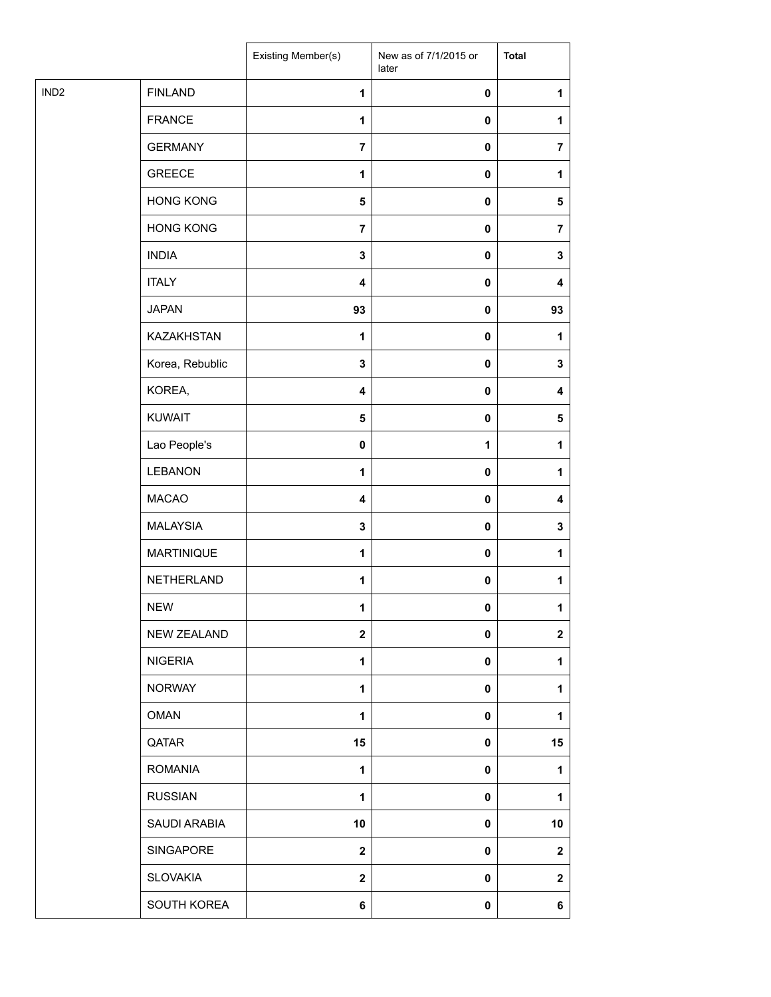| <b>FINLAND</b><br>$\mathbf{1}$<br>$\pmb{0}$<br>1<br><b>FRANCE</b><br>1<br>$\pmb{0}$<br>1<br><b>GERMANY</b><br>$\overline{7}$<br>$\pmb{0}$<br>$\overline{7}$<br><b>GREECE</b><br>$\mathbf{1}$<br>$\pmb{0}$<br>1<br><b>HONG KONG</b><br>${\bf 5}$<br>0<br>5<br><b>HONG KONG</b><br>$\overline{7}$<br>$\pmb{0}$<br>$\overline{7}$<br><b>INDIA</b><br>$\mathbf 3$<br>$\pmb{0}$<br>3<br><b>ITALY</b><br>$\overline{\mathbf{4}}$<br>$\pmb{0}$<br>4<br><b>JAPAN</b><br>93<br>93<br>$\pmb{0}$<br>KAZAKHSTAN<br>1<br>$\pmb{0}$<br>1<br>Korea, Rebublic<br>3<br>$\pmb{0}$<br>$\mathbf 3$<br>KOREA,<br>$\overline{\mathbf{4}}$<br>$\pmb{0}$<br>4<br><b>KUWAIT</b><br>$\pmb{0}$<br>5<br>$\sqrt{5}$<br>Lao People's<br>0<br>1<br>1<br><b>LEBANON</b><br>1<br>$\pmb{0}$<br>1<br><b>MACAO</b><br>$\overline{\mathbf{4}}$<br>$\pmb{0}$<br>4<br><b>MALAYSIA</b><br>$\mathbf 3$<br>$\pmb{0}$<br>3<br><b>MARTINIQUE</b><br>1<br>$\pmb{0}$<br>1<br>NETHERLAND<br>$\mathbf{1}$<br>$\pmb{0}$<br>1<br><b>NEW</b><br>1<br>$\mathbf 0$<br>1<br><b>NEW ZEALAND</b><br>$\boldsymbol{2}$<br>$\pmb{0}$<br>$\mathbf{2}$<br><b>NIGERIA</b><br>$\mathbf{1}$<br>$\pmb{0}$<br>1<br><b>NORWAY</b><br>1<br>$\pmb{0}$<br>1<br><b>OMAN</b><br>$\mathbf{1}$<br>$\pmb{0}$<br>1<br>QATAR<br>15<br>$\pmb{0}$<br>15<br><b>ROMANIA</b><br>1<br>1<br>0<br><b>RUSSIAN</b><br>1<br>$\pmb{0}$<br>1<br>SAUDI ARABIA<br>10<br>10<br>$\pmb{0}$<br>SINGAPORE<br>$\mathbf{2}$<br>$\pmb{0}$<br>$\mathbf{2}$<br><b>SLOVAKIA</b><br>$\mathbf 2$<br>$\pmb{0}$<br>$\mathbf{2}$<br>SOUTH KOREA<br>6<br>$\pmb{0}$<br>6 |                  | Existing Member(s) | New as of 7/1/2015 or<br>later | <b>Total</b> |
|------------------------------------------------------------------------------------------------------------------------------------------------------------------------------------------------------------------------------------------------------------------------------------------------------------------------------------------------------------------------------------------------------------------------------------------------------------------------------------------------------------------------------------------------------------------------------------------------------------------------------------------------------------------------------------------------------------------------------------------------------------------------------------------------------------------------------------------------------------------------------------------------------------------------------------------------------------------------------------------------------------------------------------------------------------------------------------------------------------------------------------------------------------------------------------------------------------------------------------------------------------------------------------------------------------------------------------------------------------------------------------------------------------------------------------------------------------------------------------------------------------------------------------------------------------|------------------|--------------------|--------------------------------|--------------|
|                                                                                                                                                                                                                                                                                                                                                                                                                                                                                                                                                                                                                                                                                                                                                                                                                                                                                                                                                                                                                                                                                                                                                                                                                                                                                                                                                                                                                                                                                                                                                            | IND <sub>2</sub> |                    |                                |              |
|                                                                                                                                                                                                                                                                                                                                                                                                                                                                                                                                                                                                                                                                                                                                                                                                                                                                                                                                                                                                                                                                                                                                                                                                                                                                                                                                                                                                                                                                                                                                                            |                  |                    |                                |              |
|                                                                                                                                                                                                                                                                                                                                                                                                                                                                                                                                                                                                                                                                                                                                                                                                                                                                                                                                                                                                                                                                                                                                                                                                                                                                                                                                                                                                                                                                                                                                                            |                  |                    |                                |              |
|                                                                                                                                                                                                                                                                                                                                                                                                                                                                                                                                                                                                                                                                                                                                                                                                                                                                                                                                                                                                                                                                                                                                                                                                                                                                                                                                                                                                                                                                                                                                                            |                  |                    |                                |              |
|                                                                                                                                                                                                                                                                                                                                                                                                                                                                                                                                                                                                                                                                                                                                                                                                                                                                                                                                                                                                                                                                                                                                                                                                                                                                                                                                                                                                                                                                                                                                                            |                  |                    |                                |              |
|                                                                                                                                                                                                                                                                                                                                                                                                                                                                                                                                                                                                                                                                                                                                                                                                                                                                                                                                                                                                                                                                                                                                                                                                                                                                                                                                                                                                                                                                                                                                                            |                  |                    |                                |              |
|                                                                                                                                                                                                                                                                                                                                                                                                                                                                                                                                                                                                                                                                                                                                                                                                                                                                                                                                                                                                                                                                                                                                                                                                                                                                                                                                                                                                                                                                                                                                                            |                  |                    |                                |              |
|                                                                                                                                                                                                                                                                                                                                                                                                                                                                                                                                                                                                                                                                                                                                                                                                                                                                                                                                                                                                                                                                                                                                                                                                                                                                                                                                                                                                                                                                                                                                                            |                  |                    |                                |              |
|                                                                                                                                                                                                                                                                                                                                                                                                                                                                                                                                                                                                                                                                                                                                                                                                                                                                                                                                                                                                                                                                                                                                                                                                                                                                                                                                                                                                                                                                                                                                                            |                  |                    |                                |              |
|                                                                                                                                                                                                                                                                                                                                                                                                                                                                                                                                                                                                                                                                                                                                                                                                                                                                                                                                                                                                                                                                                                                                                                                                                                                                                                                                                                                                                                                                                                                                                            |                  |                    |                                |              |
|                                                                                                                                                                                                                                                                                                                                                                                                                                                                                                                                                                                                                                                                                                                                                                                                                                                                                                                                                                                                                                                                                                                                                                                                                                                                                                                                                                                                                                                                                                                                                            |                  |                    |                                |              |
|                                                                                                                                                                                                                                                                                                                                                                                                                                                                                                                                                                                                                                                                                                                                                                                                                                                                                                                                                                                                                                                                                                                                                                                                                                                                                                                                                                                                                                                                                                                                                            |                  |                    |                                |              |
|                                                                                                                                                                                                                                                                                                                                                                                                                                                                                                                                                                                                                                                                                                                                                                                                                                                                                                                                                                                                                                                                                                                                                                                                                                                                                                                                                                                                                                                                                                                                                            |                  |                    |                                |              |
|                                                                                                                                                                                                                                                                                                                                                                                                                                                                                                                                                                                                                                                                                                                                                                                                                                                                                                                                                                                                                                                                                                                                                                                                                                                                                                                                                                                                                                                                                                                                                            |                  |                    |                                |              |
|                                                                                                                                                                                                                                                                                                                                                                                                                                                                                                                                                                                                                                                                                                                                                                                                                                                                                                                                                                                                                                                                                                                                                                                                                                                                                                                                                                                                                                                                                                                                                            |                  |                    |                                |              |
|                                                                                                                                                                                                                                                                                                                                                                                                                                                                                                                                                                                                                                                                                                                                                                                                                                                                                                                                                                                                                                                                                                                                                                                                                                                                                                                                                                                                                                                                                                                                                            |                  |                    |                                |              |
|                                                                                                                                                                                                                                                                                                                                                                                                                                                                                                                                                                                                                                                                                                                                                                                                                                                                                                                                                                                                                                                                                                                                                                                                                                                                                                                                                                                                                                                                                                                                                            |                  |                    |                                |              |
|                                                                                                                                                                                                                                                                                                                                                                                                                                                                                                                                                                                                                                                                                                                                                                                                                                                                                                                                                                                                                                                                                                                                                                                                                                                                                                                                                                                                                                                                                                                                                            |                  |                    |                                |              |
|                                                                                                                                                                                                                                                                                                                                                                                                                                                                                                                                                                                                                                                                                                                                                                                                                                                                                                                                                                                                                                                                                                                                                                                                                                                                                                                                                                                                                                                                                                                                                            |                  |                    |                                |              |
|                                                                                                                                                                                                                                                                                                                                                                                                                                                                                                                                                                                                                                                                                                                                                                                                                                                                                                                                                                                                                                                                                                                                                                                                                                                                                                                                                                                                                                                                                                                                                            |                  |                    |                                |              |
|                                                                                                                                                                                                                                                                                                                                                                                                                                                                                                                                                                                                                                                                                                                                                                                                                                                                                                                                                                                                                                                                                                                                                                                                                                                                                                                                                                                                                                                                                                                                                            |                  |                    |                                |              |
|                                                                                                                                                                                                                                                                                                                                                                                                                                                                                                                                                                                                                                                                                                                                                                                                                                                                                                                                                                                                                                                                                                                                                                                                                                                                                                                                                                                                                                                                                                                                                            |                  |                    |                                |              |
|                                                                                                                                                                                                                                                                                                                                                                                                                                                                                                                                                                                                                                                                                                                                                                                                                                                                                                                                                                                                                                                                                                                                                                                                                                                                                                                                                                                                                                                                                                                                                            |                  |                    |                                |              |
|                                                                                                                                                                                                                                                                                                                                                                                                                                                                                                                                                                                                                                                                                                                                                                                                                                                                                                                                                                                                                                                                                                                                                                                                                                                                                                                                                                                                                                                                                                                                                            |                  |                    |                                |              |
|                                                                                                                                                                                                                                                                                                                                                                                                                                                                                                                                                                                                                                                                                                                                                                                                                                                                                                                                                                                                                                                                                                                                                                                                                                                                                                                                                                                                                                                                                                                                                            |                  |                    |                                |              |
|                                                                                                                                                                                                                                                                                                                                                                                                                                                                                                                                                                                                                                                                                                                                                                                                                                                                                                                                                                                                                                                                                                                                                                                                                                                                                                                                                                                                                                                                                                                                                            |                  |                    |                                |              |
|                                                                                                                                                                                                                                                                                                                                                                                                                                                                                                                                                                                                                                                                                                                                                                                                                                                                                                                                                                                                                                                                                                                                                                                                                                                                                                                                                                                                                                                                                                                                                            |                  |                    |                                |              |
|                                                                                                                                                                                                                                                                                                                                                                                                                                                                                                                                                                                                                                                                                                                                                                                                                                                                                                                                                                                                                                                                                                                                                                                                                                                                                                                                                                                                                                                                                                                                                            |                  |                    |                                |              |
|                                                                                                                                                                                                                                                                                                                                                                                                                                                                                                                                                                                                                                                                                                                                                                                                                                                                                                                                                                                                                                                                                                                                                                                                                                                                                                                                                                                                                                                                                                                                                            |                  |                    |                                |              |
|                                                                                                                                                                                                                                                                                                                                                                                                                                                                                                                                                                                                                                                                                                                                                                                                                                                                                                                                                                                                                                                                                                                                                                                                                                                                                                                                                                                                                                                                                                                                                            |                  |                    |                                |              |
|                                                                                                                                                                                                                                                                                                                                                                                                                                                                                                                                                                                                                                                                                                                                                                                                                                                                                                                                                                                                                                                                                                                                                                                                                                                                                                                                                                                                                                                                                                                                                            |                  |                    |                                |              |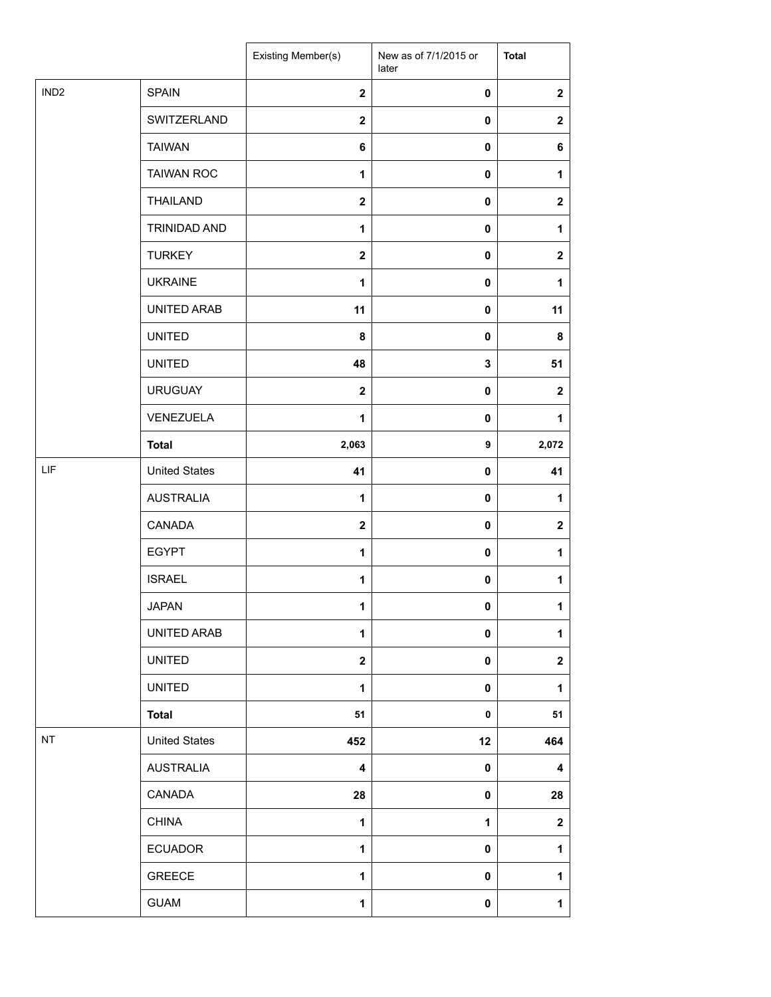|                  |                      | Existing Member(s)      | New as of 7/1/2015 or<br>later | <b>Total</b>     |
|------------------|----------------------|-------------------------|--------------------------------|------------------|
| IND <sub>2</sub> | <b>SPAIN</b>         | $\overline{2}$          | $\mathbf 0$                    | $\boldsymbol{2}$ |
|                  | SWITZERLAND          | $\mathbf 2$             | 0                              | $\mathbf{2}$     |
|                  | <b>TAIWAN</b>        | 6                       | $\pmb{0}$                      | 6                |
|                  | <b>TAIWAN ROC</b>    | 1                       | 0                              | 1                |
|                  | <b>THAILAND</b>      | $\mathbf 2$             | 0                              | $\mathbf{2}$     |
|                  | <b>TRINIDAD AND</b>  | $\mathbf{1}$            | 0                              | $\mathbf{1}$     |
|                  | <b>TURKEY</b>        | $\mathbf{2}$            | $\mathbf 0$                    | $\mathbf{2}$     |
|                  | <b>UKRAINE</b>       | $\mathbf{1}$            | 0                              | $\mathbf{1}$     |
|                  | UNITED ARAB          | 11                      | 0                              | 11               |
|                  | <b>UNITED</b>        | 8                       | 0                              | 8                |
|                  | <b>UNITED</b>        | 48                      | $\mathbf 3$                    | 51               |
|                  | <b>URUGUAY</b>       | $\overline{\mathbf{2}}$ | $\pmb{0}$                      | $\mathbf{2}$     |
|                  | VENEZUELA            | $\mathbf{1}$            | 0                              | 1                |
|                  | <b>Total</b>         | 2,063                   | 9                              | 2,072            |
| LIF              | <b>United States</b> | 41                      | 0                              | 41               |
|                  | <b>AUSTRALIA</b>     | 1                       | 0                              | $\mathbf{1}$     |
|                  | CANADA               | $\mathbf 2$             | $\pmb{0}$                      | $\boldsymbol{2}$ |
|                  | <b>EGYPT</b>         | 1                       | 0                              | 1                |
|                  | <b>ISRAEL</b>        | $\mathbf{1}$            | 0                              | $\mathbf{1}$     |
|                  | <b>JAPAN</b>         | 1                       | 0                              | $\mathbf 1$      |
|                  | UNITED ARAB          | 1                       | $\pmb{0}$                      | $\mathbf 1$      |
|                  | <b>UNITED</b>        | $\mathbf 2$             | 0                              | $\mathbf 2$      |
|                  | <b>UNITED</b>        | $\mathbf{1}$            | $\pmb{0}$                      | $\mathbf{1}$     |
|                  | <b>Total</b>         | 51                      | 0                              | 51               |
| NT               | <b>United States</b> | 452                     | 12                             | 464              |
|                  | <b>AUSTRALIA</b>     | 4                       | $\pmb{0}$                      | 4                |
|                  | CANADA               | 28                      | $\pmb{0}$                      | 28               |
|                  | <b>CHINA</b>         | 1                       | 1                              | $\mathbf 2$      |
|                  | <b>ECUADOR</b>       | $\mathbf{1}$            | 0                              | $\mathbf{1}$     |
|                  | GREECE               | 1                       | 0                              | $\mathbf{1}$     |
|                  | <b>GUAM</b>          | $\mathbf{1}$            | 0                              | $\mathbf 1$      |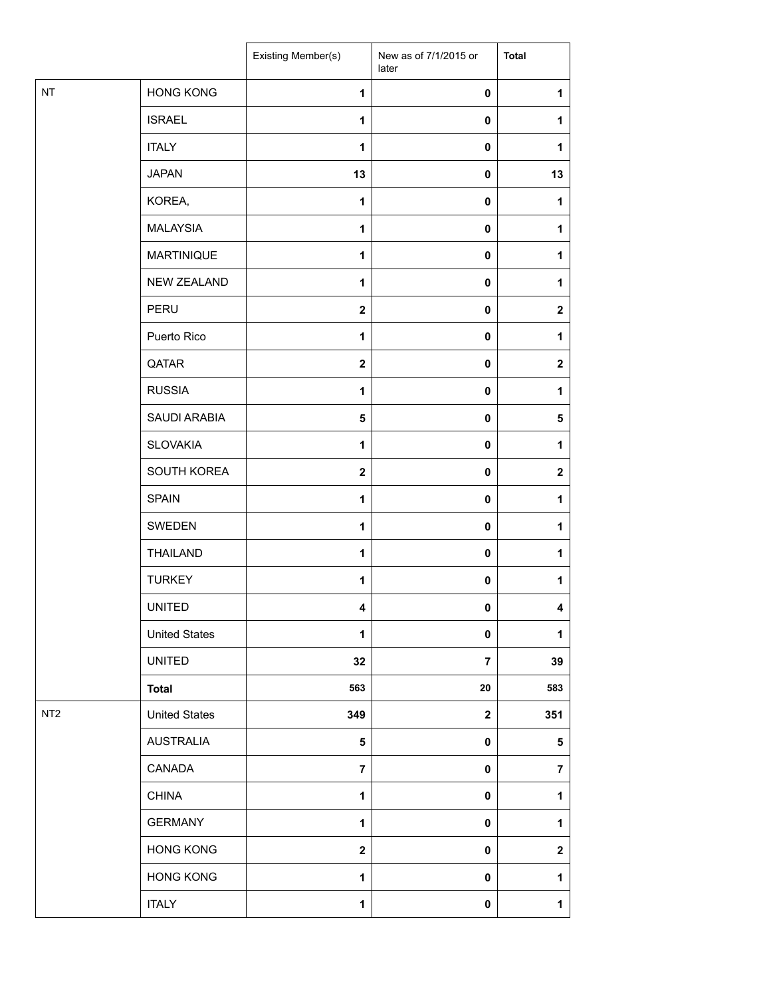|                 |                      | Existing Member(s)      | New as of 7/1/2015 or<br>later | <b>Total</b>            |
|-----------------|----------------------|-------------------------|--------------------------------|-------------------------|
| NT              | <b>HONG KONG</b>     | $\mathbf{1}$            | 0                              | 1                       |
|                 | <b>ISRAEL</b>        | 1                       | 0                              | 1                       |
|                 | <b>ITALY</b>         | 1                       | 0                              | 1                       |
|                 | <b>JAPAN</b>         | 13                      | $\mathbf 0$                    | 13                      |
|                 | KOREA,               | 1                       | $\mathbf 0$                    | 1                       |
|                 | <b>MALAYSIA</b>      | 1                       | 0                              | 1                       |
|                 | <b>MARTINIQUE</b>    | 1                       | 0                              | 1                       |
|                 | NEW ZEALAND          | 1                       | 0                              | 1                       |
|                 | PERU                 | $\mathbf{2}$            | 0                              | $\boldsymbol{2}$        |
|                 | Puerto Rico          | 1                       | 0                              | 1                       |
|                 | QATAR                | $\mathbf{2}$            | 0                              | $\mathbf 2$             |
|                 | <b>RUSSIA</b>        | 1                       | $\pmb{0}$                      | 1                       |
|                 | SAUDI ARABIA         | 5                       | 0                              | 5                       |
|                 | <b>SLOVAKIA</b>      | 1                       | 0                              | 1                       |
|                 | SOUTH KOREA          | $\mathbf 2$             | 0                              | $\overline{\mathbf{2}}$ |
|                 | <b>SPAIN</b>         | $\mathbf{1}$            | 0                              | 1                       |
|                 | SWEDEN               | 1                       | $\mathbf 0$                    | 1                       |
|                 | <b>THAILAND</b>      | $\mathbf{1}$            | $\pmb{0}$                      | 1                       |
|                 | <b>TURKEY</b>        | 1                       | 0                              | 1                       |
|                 | <b>UNITED</b>        | 4                       | 0                              | 4                       |
|                 | <b>United States</b> | 1                       | $\pmb{0}$                      | 1                       |
|                 | <b>UNITED</b>        | 32                      | $\overline{7}$                 | 39                      |
|                 | <b>Total</b>         | 563                     | ${\bf 20}$                     | 583                     |
| NT <sub>2</sub> | <b>United States</b> | 349                     | $\mathbf{2}$                   | 351                     |
|                 | <b>AUSTRALIA</b>     | 5                       | 0                              | 5                       |
|                 | CANADA               | $\overline{7}$          | 0                              | $\overline{7}$          |
|                 | <b>CHINA</b>         | $\mathbf{1}$            | $\pmb{0}$                      | 1                       |
|                 | <b>GERMANY</b>       | 1                       | 0                              | 1                       |
|                 | <b>HONG KONG</b>     | $\overline{\mathbf{2}}$ | $\pmb{0}$                      | $\mathbf{2}$            |
|                 | <b>HONG KONG</b>     | 1                       | 0                              | $\mathbf{1}$            |
|                 | <b>ITALY</b>         | 1                       | 0                              | $\mathbf{1}$            |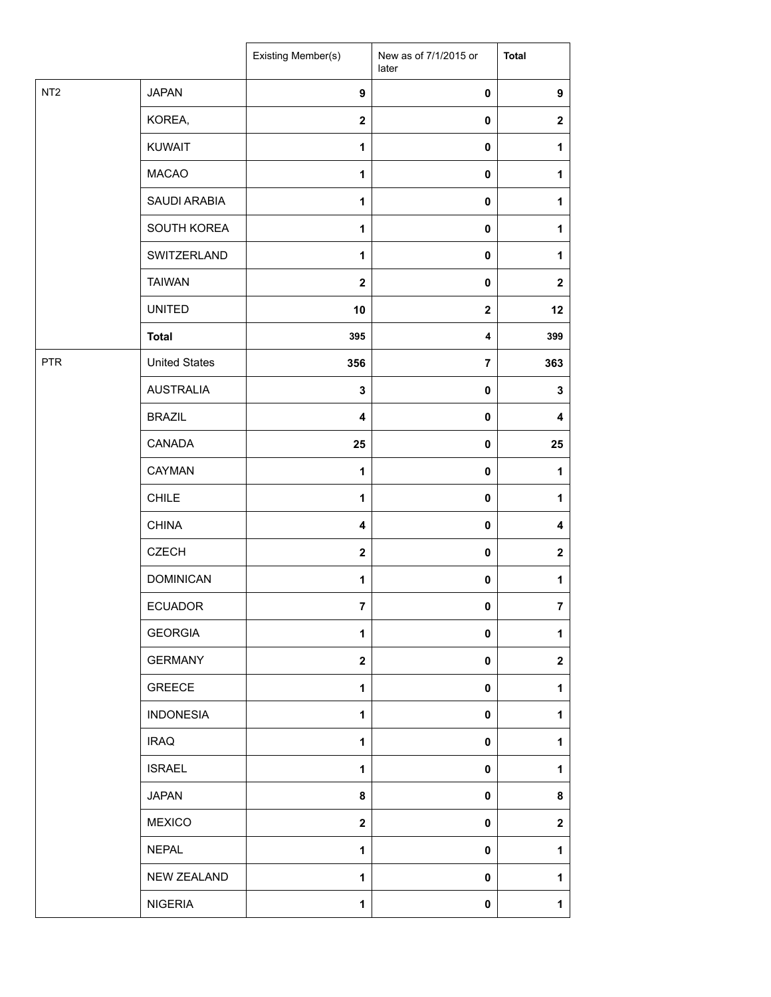|                 |                      | <b>Existing Member(s)</b> | New as of 7/1/2015 or<br>later | <b>Total</b>            |
|-----------------|----------------------|---------------------------|--------------------------------|-------------------------|
| NT <sub>2</sub> | <b>JAPAN</b>         | $\boldsymbol{9}$          | $\pmb{0}$                      | $\boldsymbol{9}$        |
|                 | KOREA,               | $\overline{\mathbf{2}}$   | $\pmb{0}$                      | $\boldsymbol{2}$        |
|                 | <b>KUWAIT</b>        | $\mathbf{1}$              | $\pmb{0}$                      | 1                       |
|                 | <b>MACAO</b>         | $\mathbf{1}$              | $\pmb{0}$                      | 1                       |
|                 | SAUDI ARABIA         | $\mathbf{1}$              | $\pmb{0}$                      | 1                       |
|                 | SOUTH KOREA          | $\mathbf{1}$              | $\mathbf 0$                    | 1                       |
|                 | SWITZERLAND          | 1                         | $\mathbf 0$                    | 1                       |
|                 | <b>TAIWAN</b>        | $\mathbf 2$               | $\pmb{0}$                      | $\mathbf{2}$            |
|                 | <b>UNITED</b>        | 10                        | $\mathbf{2}$                   | 12                      |
|                 | <b>Total</b>         | 395                       | $\overline{\mathbf{4}}$        | 399                     |
| <b>PTR</b>      | <b>United States</b> | 356                       | $\overline{7}$                 | 363                     |
|                 | <b>AUSTRALIA</b>     | $\mathbf 3$               | $\pmb{0}$                      | $\mathbf 3$             |
|                 | <b>BRAZIL</b>        | $\overline{\mathbf{4}}$   | $\pmb{0}$                      | 4                       |
|                 | CANADA               | 25                        | $\pmb{0}$                      | 25                      |
|                 | CAYMAN               | 1                         | $\pmb{0}$                      | 1                       |
|                 | <b>CHILE</b>         | 1                         | $\pmb{0}$                      | 1                       |
|                 | <b>CHINA</b>         | $\overline{\mathbf{4}}$   | $\mathbf 0$                    | 4                       |
|                 | <b>CZECH</b>         | $\mathbf{2}$              | $\pmb{0}$                      | $\boldsymbol{2}$        |
|                 | <b>DOMINICAN</b>     | 1                         | $\pmb{0}$                      | 1                       |
|                 | <b>ECUADOR</b>       | $\bf 7$                   | $\pmb{0}$                      | $\overline{\mathbf{7}}$ |
|                 | <b>GEORGIA</b>       | $\mathbf{1}$              | $\pmb{0}$                      | 1                       |
|                 | <b>GERMANY</b>       | $\overline{\mathbf{2}}$   | $\pmb{0}$                      | $\mathbf{2}$            |
|                 | <b>GREECE</b>        | $\mathbf{1}$              | 0                              | 1                       |
|                 | <b>INDONESIA</b>     | $\mathbf{1}$              | $\mathbf 0$                    | 1                       |
|                 | <b>IRAQ</b>          | $\mathbf{1}$              | 0                              | 1                       |
|                 | <b>ISRAEL</b>        | $\mathbf{1}$              | $\mathbf 0$                    | 1                       |
|                 | <b>JAPAN</b>         | 8                         | $\pmb{0}$                      | 8                       |
|                 | <b>MEXICO</b>        | $\mathbf{2}$              | $\mathbf 0$                    | $\mathbf{2}$            |
|                 | <b>NEPAL</b>         | $\mathbf{1}$              | $\mathbf 0$                    | 1                       |
|                 | <b>NEW ZEALAND</b>   | $\mathbf{1}$              | 0                              | 1                       |
|                 | <b>NIGERIA</b>       | 1                         | $\pmb{0}$                      | 1                       |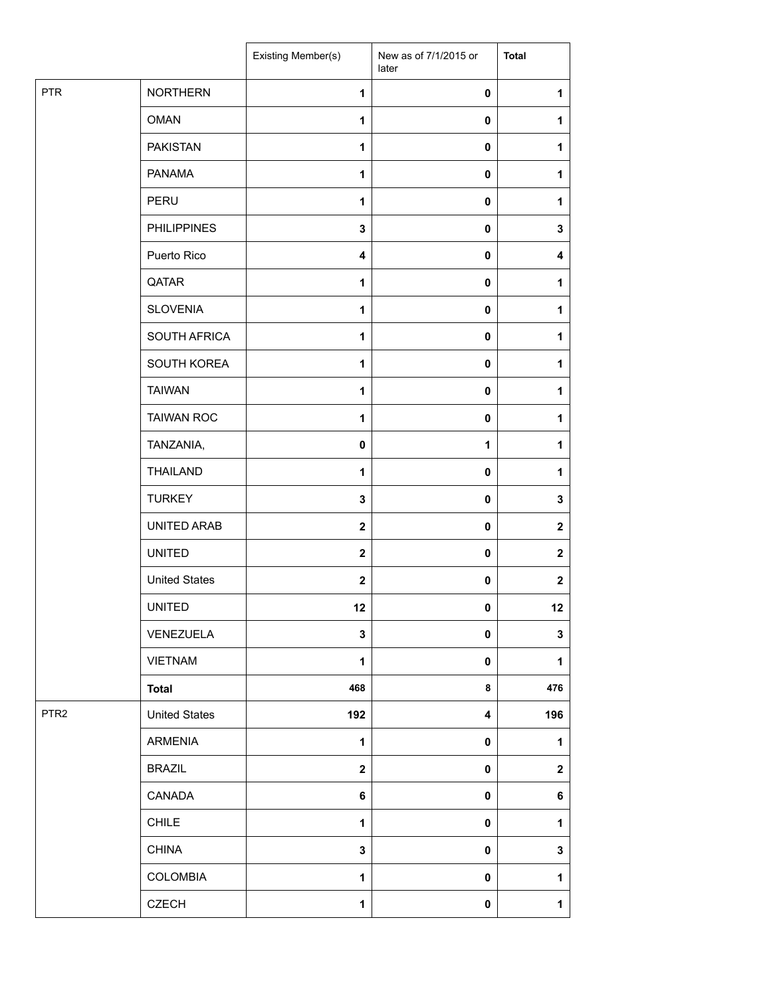|                  |                      | Existing Member(s)      | New as of 7/1/2015 or<br>later | <b>Total</b>     |
|------------------|----------------------|-------------------------|--------------------------------|------------------|
| <b>PTR</b>       | <b>NORTHERN</b>      | 1                       | 0                              | $\mathbf{1}$     |
|                  | <b>OMAN</b>          | 1                       | 0                              | 1                |
|                  | <b>PAKISTAN</b>      | 1                       | 0                              | 1                |
|                  | <b>PANAMA</b>        | 1                       | 0                              | 1                |
|                  | PERU                 | 1                       | 0                              | 1                |
|                  | <b>PHILIPPINES</b>   | $\mathbf 3$             | 0                              | $\mathbf 3$      |
|                  | Puerto Rico          | $\overline{\mathbf{4}}$ | 0                              | 4                |
|                  | QATAR                | 1                       | 0                              | 1                |
|                  | <b>SLOVENIA</b>      | 1                       | 0                              | 1                |
|                  | SOUTH AFRICA         | 1                       | 0                              | 1                |
|                  | SOUTH KOREA          | 1                       | 0                              | 1                |
|                  | <b>TAIWAN</b>        | 1                       | $\pmb{0}$                      | 1                |
|                  | <b>TAIWAN ROC</b>    | $\mathbf{1}$            | 0                              | 1                |
|                  | TANZANIA,            | 0                       | 1                              | 1                |
|                  | <b>THAILAND</b>      | 1                       | 0                              | 1                |
|                  | <b>TURKEY</b>        | 3                       | 0                              | 3                |
|                  | UNITED ARAB          | $\mathbf{2}$            | $\pmb{0}$                      | $\mathbf 2$      |
|                  | <b>UNITED</b>        | $\mathbf{2}$            | 0                              | $\mathbf 2$      |
|                  | <b>United States</b> | $\boldsymbol{2}$        | 0                              | $\boldsymbol{2}$ |
|                  | <b>UNITED</b>        | 12                      | 0                              | 12               |
|                  | VENEZUELA            | 3                       | 0                              | 3                |
|                  | <b>VIETNAM</b>       | 1                       | 0                              | $\mathbf{1}$     |
|                  | <b>Total</b>         | 468                     | 8                              | 476              |
| PTR <sub>2</sub> | <b>United States</b> | 192                     | 4                              | 196              |
|                  | ARMENIA              | 1                       | 0                              | 1                |
|                  | <b>BRAZIL</b>        | $\mathbf 2$             | 0                              | $\mathbf 2$      |
|                  | CANADA               | 6                       | 0                              | 6                |
|                  | <b>CHILE</b>         | 1                       | 0                              | $\mathbf{1}$     |
|                  | <b>CHINA</b>         | 3                       | 0                              | $\mathbf 3$      |
|                  | COLOMBIA             | 1                       | 0                              | $\mathbf{1}$     |
|                  | <b>CZECH</b>         | $\mathbf{1}$            | $\pmb{0}$                      | $\mathbf{1}$     |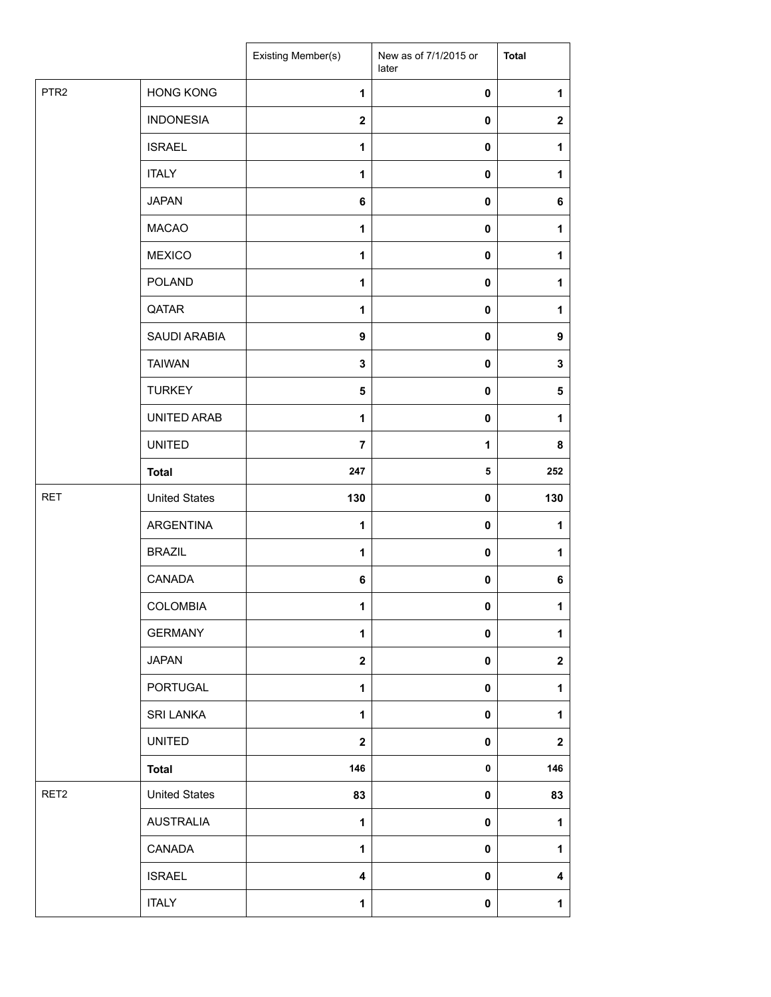|                  |                      | Existing Member(s)      | New as of 7/1/2015 or<br>later | <b>Total</b>            |
|------------------|----------------------|-------------------------|--------------------------------|-------------------------|
| PTR <sub>2</sub> | <b>HONG KONG</b>     | $\mathbf{1}$            | 0                              | 1                       |
|                  | <b>INDONESIA</b>     | $\mathbf 2$             | 0                              | $\mathbf 2$             |
|                  | <b>ISRAEL</b>        | $\mathbf{1}$            | $\pmb{0}$                      | $\mathbf{1}$            |
|                  | <b>ITALY</b>         | 1                       | 0                              | 1                       |
|                  | <b>JAPAN</b>         | 6                       | 0                              | 6                       |
|                  | <b>MACAO</b>         | $\mathbf{1}$            | 0                              | $\mathbf{1}$            |
|                  | <b>MEXICO</b>        | $\mathbf{1}$            | 0                              | $\mathbf{1}$            |
|                  | <b>POLAND</b>        | $\mathbf{1}$            | 0                              | $\mathbf{1}$            |
|                  | QATAR                | 1                       | 0                              | 1                       |
|                  | SAUDI ARABIA         | $\boldsymbol{9}$        | 0                              | $\boldsymbol{9}$        |
|                  | <b>TAIWAN</b>        | 3                       | 0                              | 3                       |
|                  | <b>TURKEY</b>        | 5                       | $\pmb{0}$                      | 5                       |
|                  | UNITED ARAB          | 1                       | 0                              | 1                       |
|                  | <b>UNITED</b>        | 7                       | 1                              | 8                       |
|                  | <b>Total</b>         | 247                     | 5                              | 252                     |
| <b>RET</b>       | <b>United States</b> | 130                     | 0                              | 130                     |
|                  | <b>ARGENTINA</b>     | $\mathbf{1}$            | $\pmb{0}$                      | 1                       |
|                  | <b>BRAZIL</b>        | 1                       | 0                              | 1                       |
|                  | CANADA               | 6                       | 0                              | 6                       |
|                  | COLOMBIA             | 1                       | 0                              | $\mathbf 1$             |
|                  | <b>GERMANY</b>       | 1                       | $\pmb{0}$                      | $\mathbf{1}$            |
|                  | <b>JAPAN</b>         | $\overline{\mathbf{2}}$ | 0                              | $\mathbf 2$             |
|                  | <b>PORTUGAL</b>      | $\mathbf{1}$            | 0                              | $\mathbf{1}$            |
|                  | SRI LANKA            | $\mathbf{1}$            | 0                              | $\mathbf{1}$            |
|                  | <b>UNITED</b>        | $\overline{\mathbf{2}}$ | 0                              | $\overline{\mathbf{2}}$ |
|                  | <b>Total</b>         | 146                     | 0                              | 146                     |
| RET2             | <b>United States</b> | 83                      | 0                              | 83                      |
|                  | <b>AUSTRALIA</b>     | 1                       | 0                              | $\mathbf{1}$            |
|                  | CANADA               | $\mathbf{1}$            | 0                              | $\mathbf{1}$            |
|                  | <b>ISRAEL</b>        | 4                       | 0                              | 4                       |
|                  | <b>ITALY</b>         | 1                       | 0                              | $\mathbf 1$             |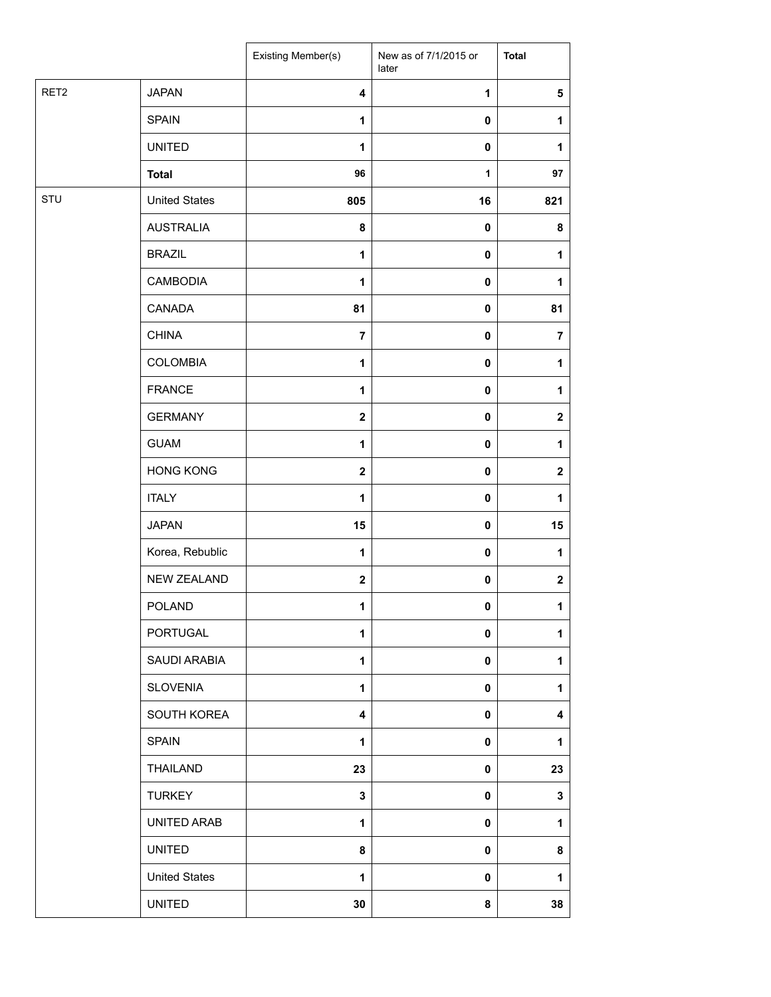|                  |                      | Existing Member(s)      | New as of 7/1/2015 or<br>later | <b>Total</b>            |
|------------------|----------------------|-------------------------|--------------------------------|-------------------------|
| RET <sub>2</sub> | <b>JAPAN</b>         | $\overline{\mathbf{4}}$ | $\mathbf{1}$                   | 5                       |
|                  | <b>SPAIN</b>         | 1                       | $\pmb{0}$                      | 1                       |
|                  | <b>UNITED</b>        | 1                       | 0                              | $\mathbf{1}$            |
|                  | <b>Total</b>         | 96                      | $\mathbf{1}$                   | 97                      |
| STU              | <b>United States</b> | 805                     | 16                             | 821                     |
|                  | <b>AUSTRALIA</b>     | 8                       | $\pmb{0}$                      | 8                       |
|                  | <b>BRAZIL</b>        | 1                       | 0                              | 1                       |
|                  | CAMBODIA             | 1                       | 0                              | 1                       |
|                  | CANADA               | 81                      | 0                              | 81                      |
|                  | <b>CHINA</b>         | $\overline{7}$          | 0                              | $\overline{7}$          |
|                  | <b>COLOMBIA</b>      | 1                       | 0                              | 1                       |
|                  | <b>FRANCE</b>        | $\mathbf{1}$            | $\pmb{0}$                      | 1                       |
|                  | <b>GERMANY</b>       | $\boldsymbol{2}$        | $\pmb{0}$                      | $\mathbf 2$             |
|                  | <b>GUAM</b>          | 1                       | $\pmb{0}$                      | 1                       |
|                  | <b>HONG KONG</b>     | $\mathbf{2}$            | 0                              | $\mathbf{2}$            |
|                  | <b>ITALY</b>         | $\mathbf{1}$            | 0                              | $\mathbf{1}$            |
|                  | <b>JAPAN</b>         | 15                      | 0                              | 15                      |
|                  | Korea, Rebublic      | $\mathbf{1}$            | $\pmb{0}$                      | 1                       |
|                  | <b>NEW ZEALAND</b>   | $\mathbf 2$             | $\pmb{0}$                      | $\mathbf 2$             |
|                  | <b>POLAND</b>        | 1                       | 0                              | 1                       |
|                  | PORTUGAL             | $\mathbf{1}$            | 0                              | $\mathbf{1}$            |
|                  | SAUDI ARABIA         | $\mathbf{1}$            | 0                              | 1                       |
|                  | <b>SLOVENIA</b>      | $\mathbf{1}$            | 0                              | 1                       |
|                  | SOUTH KOREA          | $\overline{\mathbf{4}}$ | 0                              | $\overline{\mathbf{4}}$ |
|                  | <b>SPAIN</b>         | 1                       | 0                              | 1                       |
|                  | THAILAND             | 23                      | 0                              | 23                      |
|                  | <b>TURKEY</b>        | 3                       | 0                              | 3                       |
|                  | UNITED ARAB          | $\mathbf{1}$            | $\mathbf 0$                    | $\mathbf{1}$            |
|                  | <b>UNITED</b>        | 8                       | $\mathbf 0$                    | 8                       |
|                  | <b>United States</b> | 1                       | 0                              | 1                       |
|                  | <b>UNITED</b>        | 30                      | 8                              | 38                      |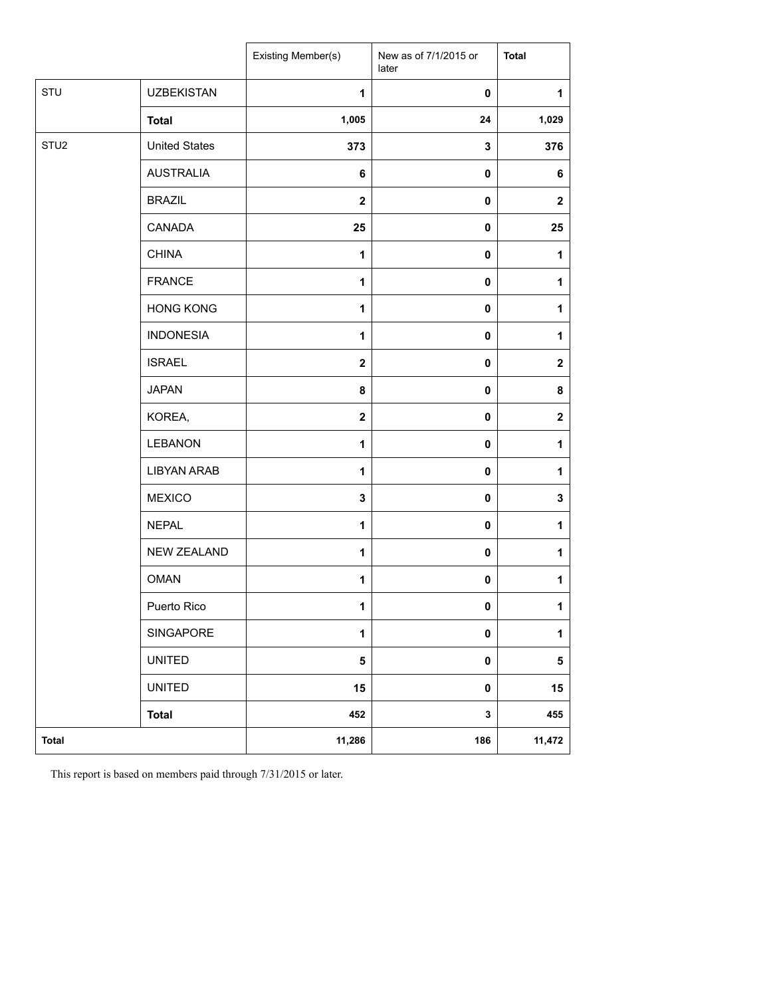|                  |                      | Existing Member(s)      | New as of 7/1/2015 or<br>later | <b>Total</b>     |
|------------------|----------------------|-------------------------|--------------------------------|------------------|
| STU              | <b>UZBEKISTAN</b>    | 1                       | $\mathbf 0$                    | 1                |
|                  | <b>Total</b>         | 1,005                   | 24                             | 1,029            |
| STU <sub>2</sub> | <b>United States</b> | 373                     | 3                              | 376              |
|                  | <b>AUSTRALIA</b>     | 6                       | 0                              | 6                |
|                  | <b>BRAZIL</b>        | $\mathbf{2}$            | $\mathbf 0$                    | $\boldsymbol{2}$ |
|                  | <b>CANADA</b>        | 25                      | 0                              | 25               |
|                  | <b>CHINA</b>         | $\mathbf{1}$            | 0                              | 1                |
|                  | <b>FRANCE</b>        | 1                       | $\mathbf 0$                    | $\mathbf{1}$     |
|                  | <b>HONG KONG</b>     | 1                       | $\mathbf 0$                    | 1                |
|                  | <b>INDONESIA</b>     | 1                       | $\mathbf 0$                    | 1                |
|                  | <b>ISRAEL</b>        | $\overline{\mathbf{2}}$ | $\mathbf 0$                    | $\boldsymbol{2}$ |
|                  | <b>JAPAN</b>         | 8                       | 0                              | 8                |
|                  | KOREA,               | $\mathbf{2}$            | $\mathbf 0$                    | $\boldsymbol{2}$ |
|                  | LEBANON              | 1                       | $\mathbf 0$                    | 1                |
|                  | <b>LIBYAN ARAB</b>   | 1                       | $\mathbf 0$                    | 1                |
|                  | <b>MEXICO</b>        | $\mathbf{3}$            | $\mathbf 0$                    | $\mathbf 3$      |
|                  | <b>NEPAL</b>         | 1                       | $\mathbf 0$                    | $\mathbf{1}$     |
|                  | <b>NEW ZEALAND</b>   | 1                       | 0                              | 1                |
|                  | <b>OMAN</b>          | 1                       | 0                              | 1                |
|                  | Puerto Rico          | 1                       | 0                              | $\mathbf{1}$     |
|                  | SINGAPORE            | $\mathbf{1}$            | $\pmb{0}$                      | $\mathbf{1}$     |
|                  | <b>UNITED</b>        | 5                       | $\pmb{0}$                      | ${\bf 5}$        |
|                  | <b>UNITED</b>        | 15                      | $\pmb{0}$                      | 15               |
|                  | <b>Total</b>         | 452                     | 3                              | 455              |
| <b>Total</b>     |                      | 11,286                  | 186                            | 11,472           |

This report is based on members paid through 7/31/2015 or later.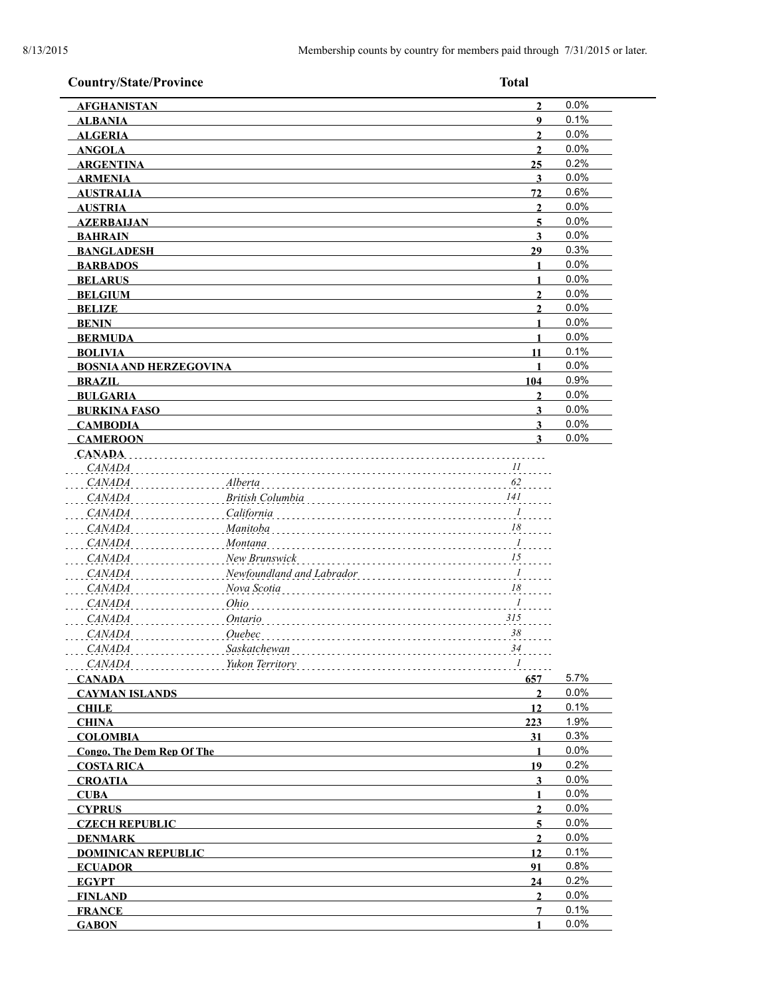| <b>Country/State/Province</b>    |                           | <b>Total</b>         |              |
|----------------------------------|---------------------------|----------------------|--------------|
| <b>AFGHANISTAN</b>               |                           | $\overline{2}$       | 0.0%         |
| <b>ALBANIA</b>                   |                           | $\boldsymbol{9}$     | 0.1%         |
| <b>ALGERIA</b>                   |                           | $\overline{2}$       | 0.0%         |
| <b>ANGOLA</b>                    |                           | $\mathbf{2}$         | 0.0%         |
| <b>ARGENTINA</b>                 |                           | 25                   | 0.2%         |
| <b>ARMENIA</b>                   |                           | $\mathbf{3}$         | 0.0%         |
| <b>AUSTRALIA</b>                 |                           | 72                   | 0.6%         |
| <b>AUSTRIA</b>                   |                           | $\mathbf{2}$         | 0.0%         |
| <b>AZERBAIJAN</b>                |                           | 5                    | 0.0%         |
| <b>BAHRAIN</b>                   |                           | 3                    | 0.0%         |
| <b>BANGLADESH</b>                |                           | 29                   | 0.3%         |
| <b>BARBADOS</b>                  |                           |                      | 0.0%         |
| <b>BELARUS</b>                   |                           | 1                    | 0.0%         |
| <b>BELGIUM</b>                   |                           | $\overline{2}$       | 0.0%         |
| <b>BELIZE</b>                    |                           | $\overline{2}$       | 0.0%         |
| <b>BENIN</b>                     |                           | 1                    | 0.0%         |
| <b>BERMUDA</b>                   |                           | 1                    | 0.0%         |
| <b>BOLIVIA</b>                   |                           | 11                   | 0.1%         |
| <b>BOSNIA AND HERZEGOVINA</b>    |                           |                      | 0.0%         |
| <b>BRAZIL</b>                    |                           | 104                  | 0.9%         |
| <b>BULGARIA</b>                  |                           | $\overline{2}$       | 0.0%         |
| <b>BURKINA FASO</b>              |                           | $\mathbf{3}$         | 0.0%         |
| <b>CAMBODIA</b>                  |                           | 3                    | 0.0%         |
| <b>CAMEROON</b>                  |                           | 3                    | 0.0%         |
| <b>CANADA</b><br><i>CANADA</i>   |                           | $\frac{1}{2}$        |              |
| <i>CANADA</i>                    | Alberta                   | 62                   |              |
| <i>CANADA</i>                    | British Columbia          | 141                  |              |
| <i>CANADA</i>                    | California                | $\frac{1}{2}$        |              |
| <i>CANADA</i>                    | <b>Manitoba</b>           | 18                   |              |
| CANADA                           | Montana                   | $\overline{I}$       |              |
|                                  | New Brunswick             | 15                   |              |
| <i>CANADA</i>                    | Newfoundland and Labrador |                      |              |
| CANADA                           | . 1                       | $18$                 |              |
| <i>CANADA</i>                    | Nova Scotia               | $\overline{I}$       |              |
| CANADA                           | Ohio                      | 315                  |              |
| <b>CANADA</b>                    | Ontario                   | $38\,$               |              |
| <b>CANADA</b>                    | Quebec                    |                      |              |
| <i>CANADA</i>                    | Saskatchewan              | 34                   |              |
| CANADA                           | Yukon Territory           | $\boldsymbol{l}$     |              |
| <b>CANADA</b>                    |                           | 657                  | 5.7%<br>0.0% |
| <b>CAYMAN ISLANDS</b>            |                           | $\overline{2}$<br>12 | 0.1%         |
| <b>CHILE</b><br><b>CHINA</b>     |                           | 223                  | 1.9%         |
| <b>COLOMBIA</b>                  |                           | 31                   | 0.3%         |
| <b>Congo, The Dem Rep Of The</b> |                           | 1                    | 0.0%         |
| <b>COSTA RICA</b>                |                           | 19                   | 0.2%         |
| <b>CROATIA</b>                   |                           | 3                    | 0.0%         |
| <b>CUBA</b>                      |                           | 1                    | 0.0%         |
| <b>CYPRUS</b>                    |                           | $\overline{2}$       | 0.0%         |
| <b>CZECH REPUBLIC</b>            |                           | 5                    | 0.0%         |
| <b>DENMARK</b>                   |                           | $\overline{2}$       | 0.0%         |
| <b>DOMINICAN REPUBLIC</b>        |                           | 12                   | 0.1%         |
| <b>ECUADOR</b>                   |                           | 91                   | 0.8%         |
| <b>EGYPT</b>                     |                           | 24                   | 0.2%         |
| <b>FINLAND</b>                   |                           | $\overline{2}$       | 0.0%         |
| <b>FRANCE</b>                    |                           | $7\phantom{.0}$      | 0.1%         |
| <b>GABON</b>                     |                           | 1                    | 0.0%         |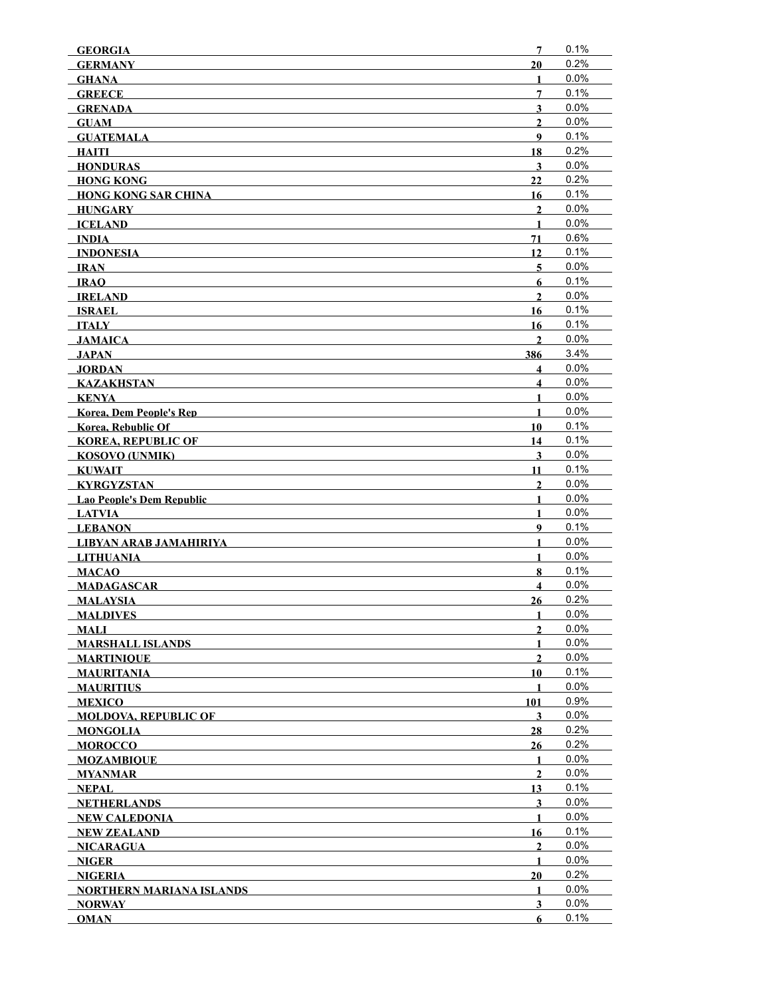| <b>GEORGIA</b>                             | 7                       | 0.1%         |
|--------------------------------------------|-------------------------|--------------|
| <b>GERMANY</b>                             | 20                      | 0.2%         |
| <b>GHANA</b>                               | 1                       | 0.0%         |
| <b>GREECE</b>                              | 7                       | 0.1%         |
| <b>GRENADA</b>                             | $\overline{\mathbf{3}}$ | 0.0%         |
| <b>GUAM</b>                                | $\overline{2}$          | 0.0%         |
| <b>GUATEMALA</b>                           | 9                       | 0.1%         |
| <b>HAITI</b>                               | 18                      | 0.2%         |
| <b>HONDURAS</b>                            | 3                       | 0.0%         |
| <b>HONG KONG</b>                           | 22                      | 0.2%         |
| <b>HONG KONG SAR CHINA</b>                 | 16                      | 0.1%         |
| HUNGARY                                    | $\mathbf{2}$            | 0.0%         |
| <b>ICELAND</b>                             | $\mathbf{1}$            | 0.0%         |
| INDIA                                      | 71                      | 0.6%         |
| <b>INDONESIA</b>                           | 12                      | 0.1%         |
| IRAN                                       | 5                       | 0.0%         |
| <b>IRAO</b>                                | 6                       | 0.1%         |
| <b>IRELAND</b>                             | $\overline{2}$          | $0.0\%$      |
| <b>ISRAEL</b>                              | 16                      | 0.1%         |
| <b>ITALY</b>                               | 16                      | 0.1%         |
| <b>JAMAICA</b>                             | $\mathbf{2}$            | 0.0%         |
| JAPAN                                      | 386                     | 3.4%         |
| JORDAN                                     | $\overline{\mathbf{4}}$ | 0.0%         |
| <b>KAZAKHSTAN</b>                          | $\overline{\mathbf{4}}$ | 0.0%         |
| KENYA                                      | $\mathbf{1}$            | 0.0%         |
| <b>Korea, Dem People's Rep</b>             | $\mathbf{1}$            | 0.0%<br>0.1% |
| <b>Korea, Rebublic Of</b>                  | 10                      | 0.1%         |
| <b>KOREA, REPUBLIC OF</b>                  | 14<br>$\mathbf{3}$      | 0.0%         |
| <b>KOSOVO (UNMIK)</b><br><b>KUWAIT</b>     | 11                      | 0.1%         |
| <b>KYRGYZSTAN</b>                          | $\mathbf{2}$            | 0.0%         |
| Lao People's Dem Republic                  | 1                       | 0.0%         |
| <b>LATVIA</b>                              | 1                       | 0.0%         |
| <b>LEBANON</b>                             | 9                       | 0.1%         |
| LIBYAN ARAB JAMAHIRIYA                     | $\mathbf{1}$            | 0.0%         |
| LITHUANIA                                  | $\mathbf{1}$            | 0.0%         |
| <b>MACAO</b>                               | 8                       | 0.1%         |
| <b>MADAGASCAR</b>                          | $\overline{\mathbf{4}}$ | 0.0%         |
| <b>MALAYSIA</b>                            | 26                      | 0.2%         |
| <b>MALDIVES</b>                            | 1                       | 0.0%         |
| <b>MALI</b>                                | $\mathbf{2}$            | 0.0%         |
| <b>MARSHALL ISLANDS</b>                    | 1                       | 0.0%         |
| <b>MARTINIQUE</b>                          | $\boldsymbol{2}$        | $0.0\%$      |
| <b>MAURITANIA</b>                          | 10                      | 0.1%         |
| <b>MAURITIUS</b>                           | 1                       | 0.0%         |
| <b>MEXICO</b>                              | 101                     | 0.9%         |
| <b>MOLDOVA. REPUBLIC OF</b>                | 3                       | 0.0%         |
| <b>MONGOLIA</b>                            | 28                      | 0.2%         |
| <b>MOROCCO</b>                             | 26                      | 0.2%         |
| <b>MOZAMBIQUE</b>                          | 1                       | 0.0%         |
| MYANMAR                                    | $\overline{2}$          | 0.0%         |
| NEPAL                                      | 13                      | 0.1%<br>0.0% |
| <b>NETHERLANDS</b><br><b>NEW CALEDONIA</b> | 3<br>1                  | $0.0\%$      |
| <b>NEW ZEALAND</b>                         | 16                      | 0.1%         |
| <b>NICARAGUA</b>                           | $\boldsymbol{2}$        | 0.0%         |
| NIGER                                      | $\mathbf{1}$            | 0.0%         |
| <b>NIGERIA</b>                             | 20                      | 0.2%         |
| <b>NORTHERN MARIANA ISLANDS</b>            | 1                       | 0.0%         |
| <b>NORWAY</b>                              | $\overline{\mathbf{3}}$ | 0.0%         |
| <b>OMAN</b>                                | 6                       | 0.1%         |
|                                            |                         |              |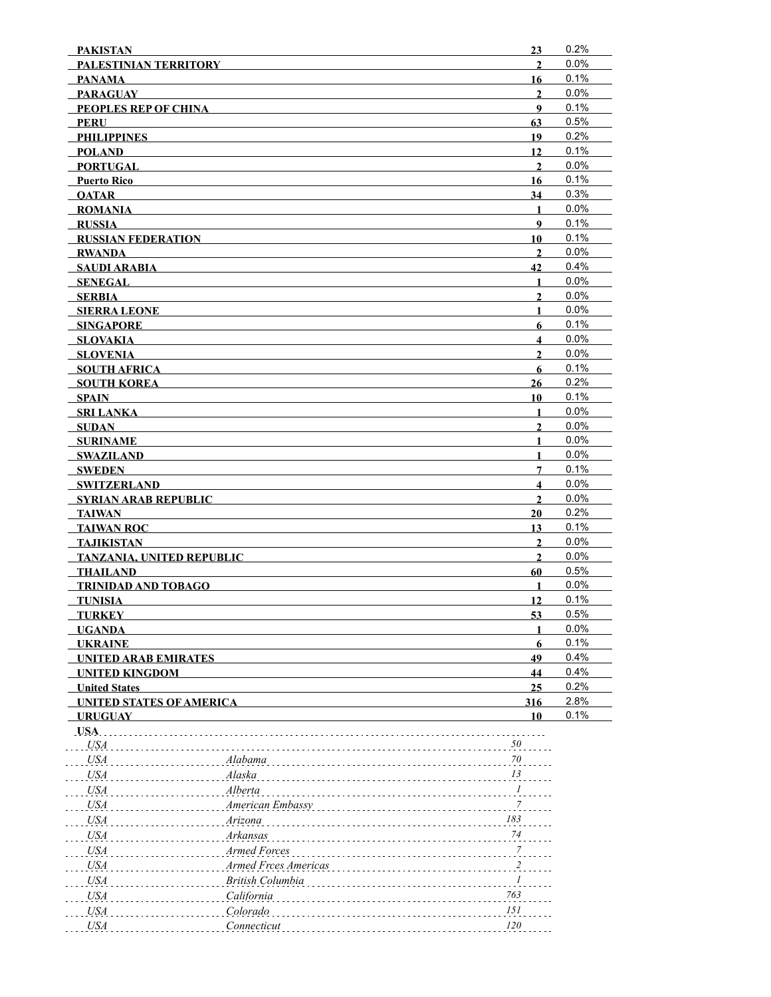| <b>PAKISTAN</b>                        |                      | 23                      | 0.2%         |
|----------------------------------------|----------------------|-------------------------|--------------|
| PALESTINIAN TERRITORY                  |                      | $\overline{2}$          | 0.0%         |
| <b>PANAMA</b>                          |                      | 16                      | 0.1%         |
| <b>PARAGUAY</b>                        |                      | $\mathbf{2}$            | 0.0%         |
| PEOPLES REP OF CHINA                   |                      | 9                       | 0.1%         |
| PERU                                   |                      | 63                      | 0.5%         |
| <b>PHILIPPINES</b>                     |                      | 19                      | 0.2%         |
| <b>POLAND</b>                          |                      | 12                      | 0.1%         |
| <b>PORTUGAL</b>                        |                      | $\mathbf{2}$            | 0.0%         |
| <b>Puerto Rico</b>                     |                      | 16                      | 0.1%         |
| <b>OATAR</b>                           |                      | 34                      | 0.3%         |
| <b>ROMANIA</b>                         |                      | $\mathbf{1}$            | 0.0%         |
| <b>RUSSIA</b>                          |                      | 9                       | 0.1%         |
| <b>RUSSIAN FEDERATION</b>              |                      | 10                      | 0.1%         |
| <b>RWANDA</b>                          |                      | $\overline{2}$          | 0.0%         |
| SAUDI ARABIA                           |                      | 42                      | 0.4%         |
| <b>SENEGAL</b>                         |                      | $\mathbf{1}$            | 0.0%<br>0.0% |
| <b>SERBIA</b>                          |                      | 2                       | 0.0%         |
| <b>SIERRA LEONE</b>                    |                      | 1                       | 0.1%         |
| <b>SINGAPORE</b>                       |                      | 6                       | 0.0%         |
| <b>SLOVAKIA</b>                        |                      | 4<br>$\mathbf{2}$       | 0.0%         |
| <b>SLOVENIA</b><br><b>SOUTH AFRICA</b> |                      | 6                       | 0.1%         |
| <b>SOUTH KOREA</b>                     |                      | 26                      | 0.2%         |
| SPAIN                                  |                      | 10                      | 0.1%         |
| <b>SRI LANKA</b>                       |                      | $\mathbf{1}$            | 0.0%         |
| <b>SUDAN</b>                           |                      | $\mathbf{2}$            | 0.0%         |
| <b>SURINAME</b>                        |                      | $\mathbf{1}$            | 0.0%         |
| <b>SWAZILAND</b>                       |                      | $\mathbf{1}$            | 0.0%         |
| <b>SWEDEN</b>                          |                      | 7                       | 0.1%         |
| <b>SWITZERLAND</b>                     |                      | $\overline{\mathbf{4}}$ | 0.0%         |
| <b>SYRIAN ARAB REPUBLIC</b>            |                      | $\mathbf{2}$            | 0.0%         |
| <b>TAIWAN</b>                          |                      | 20                      | 0.2%         |
| <b>TAIWAN ROC</b>                      |                      | 13                      | 0.1%         |
| <b>TAJIKISTAN</b>                      |                      | $\mathbf{2}$            | 0.0%         |
| TANZANIA, UNITED REPUBLIC              |                      | $\overline{2}$          | 0.0%         |
| <b>THAILAND</b>                        |                      | 60                      | 0.5%         |
| <b>TRINIDAD AND TOBAGO</b>             |                      | $\mathbf{1}$            | 0.0%         |
| <b>TUNISIA</b>                         |                      | 12                      | 0.1%         |
| <b>TURKEY</b>                          |                      | 53                      | 0.5%         |
| <b>UGANDA</b>                          |                      |                         | 0.0%         |
| <b>UKRAINE</b>                         |                      | 6                       | 0.1%         |
| <b>UNITED ARAB EMIRATES</b>            |                      | 49                      | 0.4%         |
| <b>UNITED KINGDOM</b>                  |                      | 44                      | 0.4%         |
| <b>United States</b>                   |                      | 25                      | 0.2%         |
| <b>UNITED STATES OF AMERICA</b>        |                      | 316                     | 2.8%         |
| <b>URUGUAY</b>                         |                      | 10                      | 0.1%         |
| USA.                                   |                      |                         |              |
| <b>USA</b>                             |                      | 50                      |              |
| <b>USA</b>                             | Alabama              | 70                      |              |
| <i>USA</i>                             | Alaska               | 13                      |              |
| <i>USA</i>                             | Alberta              | 1                       |              |
| <i>USA</i>                             | American Embassy     | 7                       |              |
| <i>USA</i>                             | Arizona              | 183                     |              |
| <i>USA</i>                             | Arkansas             | 74                      |              |
| USA                                    | Armed Forces         | $\boldsymbol{7}$        |              |
| USA                                    | Armed Frces Americas | $\overline{c}$          |              |
| USA                                    | British Columbia     | 1                       |              |
| USA                                    | California           | 763                     |              |
| <b>USA</b>                             | Colorado             | 151                     |              |
| <b>USA</b>                             | Connecticut          | 120                     |              |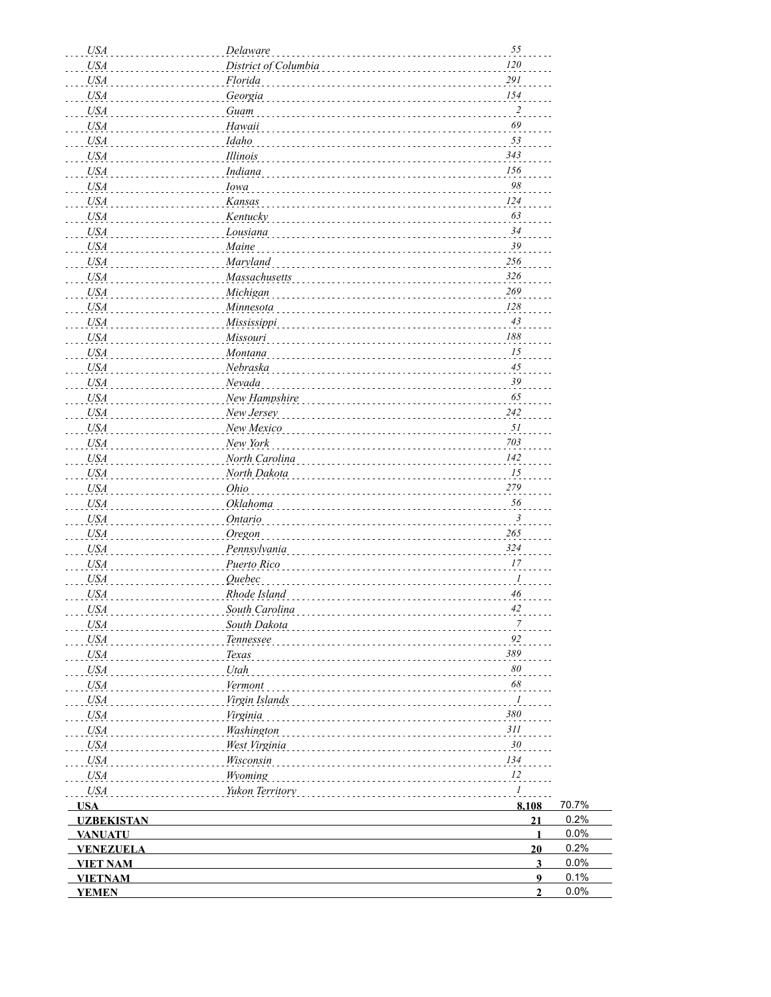| <b>USA</b>        | Delaware                    | 55                      |       |
|-------------------|-----------------------------|-------------------------|-------|
| <b>USA</b>        | District of Columbia        | 120                     |       |
| <b>USA</b>        | Florida                     | $291\,$                 |       |
| <b>USA</b>        | Georgia                     | 154                     |       |
| <b>USA</b>        | Guam                        | $\overline{\mathbf{c}}$ |       |
| <b>USA</b>        | Hawaii                      | 69                      |       |
| <b>USA</b>        | Idaho                       | 53                      |       |
| <b>USA</b>        | Illinois                    | 343                     |       |
| <b>USA</b>        | Indiana                     | 156                     |       |
| <b>USA</b>        | Iowa                        | 98                      |       |
| <b>USA</b>        | Kansas                      | 124                     |       |
| <b>USA</b>        | Kentucky                    | 63                      |       |
| <b>USA</b>        | Lousiana                    | 34                      |       |
| <b>USA</b>        | Maine                       | 39                      |       |
| <b>USA</b>        | Maryland                    | 256                     |       |
|                   |                             | 326                     |       |
| <b>USA</b>        | Massachusetts               | 269                     |       |
| <b>USA</b>        | Michigan                    |                         |       |
| <b>USA</b>        | Minnesota                   | 128                     |       |
| <b>USA</b>        | Mississippi                 | 43                      |       |
| <b>USA</b>        | Missouri                    | 188                     |       |
| <b>USA</b>        | Montana                     | 15                      |       |
| <b>USA</b>        | Nebraska                    | $45\,$                  |       |
| <b>USA</b>        | Nevada                      | 39                      |       |
| <b>USA</b>        | New Hampshire               | 65                      |       |
| <b>USA</b>        | New Jersey                  | 242                     |       |
| <b>USA</b>        | New Mexico                  | 51                      |       |
| <b>USA</b>        | New York                    | 703                     |       |
| <b>USA</b>        | North Carolina              | 142                     |       |
| <b>USA</b>        | North Dakota                | 15                      |       |
| <b>USA</b>        | Ohio                        | 279                     |       |
| <b>USA</b>        | Oklahoma                    | 56                      |       |
| <b>USA</b>        | <b>Ontario</b>              | $\mathfrak{Z}$          |       |
| <b>USA</b>        | Oregon                      | 265                     |       |
| <b>USA</b>        | Pennsylvania                | 324                     |       |
| <b>USA</b>        | Puerto Rico                 | 17                      |       |
| <b>USA</b>        | <i><u><b>Ouebec</b></u></i> | 1                       |       |
| <b>USA</b>        | Rhode Island                | 46                      |       |
|                   | South Carolina              | 42                      |       |
| <b>USA</b>        | South Dakota                | 7                       |       |
| USA               |                             | 92                      |       |
| USA               | Tennessee                   | 389                     |       |
| <b>USA</b>        | Texas                       |                         |       |
| <b>USA</b>        | Utah                        | 80                      |       |
| <b>USA</b>        | Vermont                     | 68                      |       |
| <b>USA</b>        | Virgin Islands              | $\mathcal{I}$           |       |
| <b>USA</b>        | Virginia                    | 380                     |       |
| <b>USA</b>        | Washington                  | 311                     |       |
| <b>USA</b>        | West Virginia               | 30                      |       |
| <b>USA</b>        | Wisconsin                   | 134                     |       |
| <b>USA</b>        | Wyoming                     | 12                      |       |
| <b>USA</b>        | Yukon Territory             | 1                       |       |
| <b>USA</b>        |                             | 8,108                   | 70.7% |
| <b>UZBEKISTAN</b> |                             | 21                      | 0.2%  |
| <b>VANUATU</b>    |                             | $\mathbf{1}$            | 0.0%  |
| <b>VENEZUELA</b>  |                             | 20                      | 0.2%  |
| <b>VIET NAM</b>   |                             | $\mathbf{3}$            | 0.0%  |
| <b>VIETNAM</b>    |                             | 9                       | 0.1%  |
| <b>YEMEN</b>      |                             | $\overline{2}$          | 0.0%  |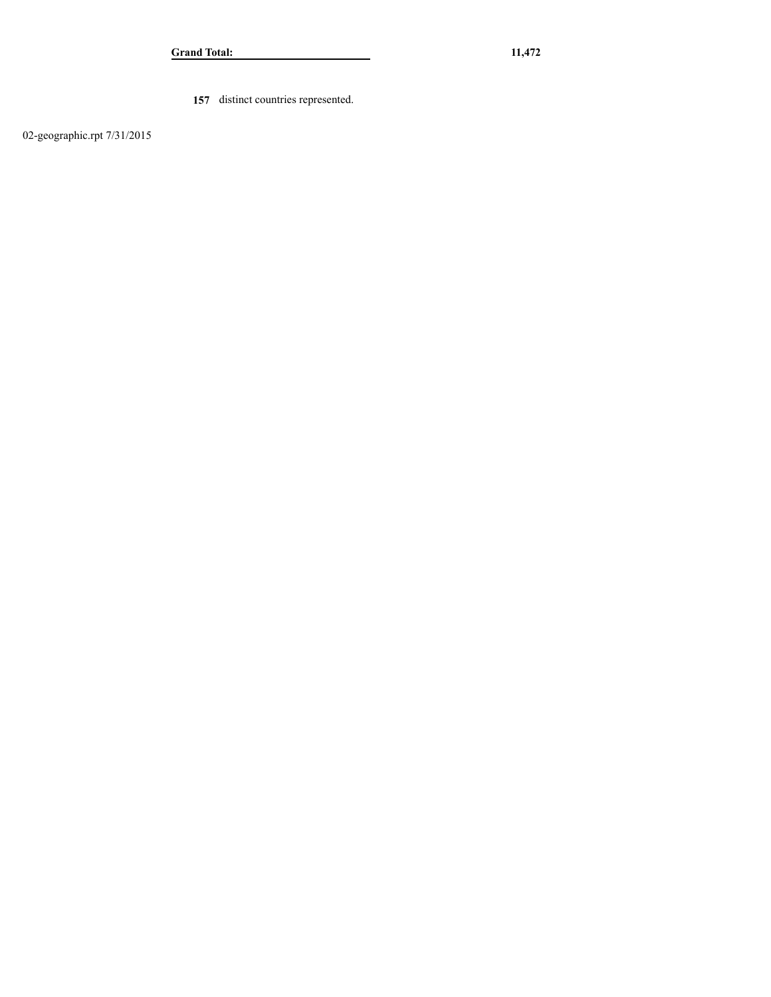**157** distinct countries represented.

02-geographic.rpt 7/31/2015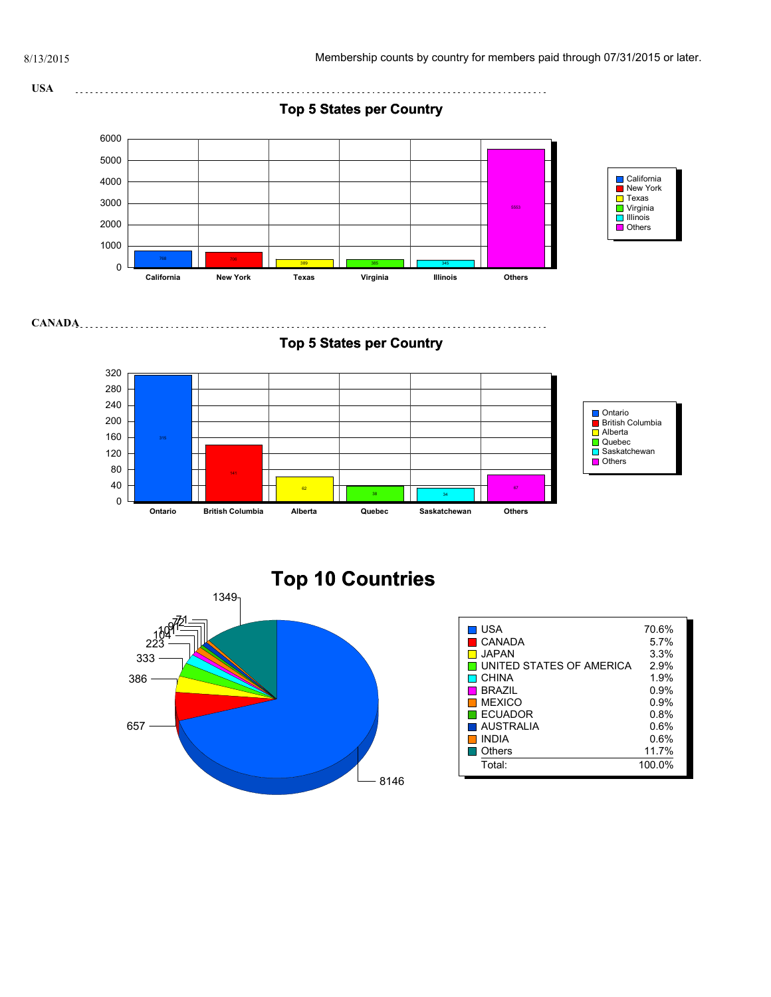



| i usa<br>CANADA<br>JAPAN.<br>LUNITED STATES OF AMERICA<br>I CHINA<br><b>BRAZIL</b><br><b>MEXICO</b><br>$\Box$ ECUADOR<br>AUSTRALIA<br><b>INDIA</b><br>Others | 70.6%<br>5.7%<br>3.3%<br>2.9%<br>1.9%<br>$0.9\%$<br>0.9%<br>0.8%<br>0.6%<br>0.6%<br>11.7% |
|--------------------------------------------------------------------------------------------------------------------------------------------------------------|-------------------------------------------------------------------------------------------|
| Total:                                                                                                                                                       | 100.0%                                                                                    |
|                                                                                                                                                              |                                                                                           |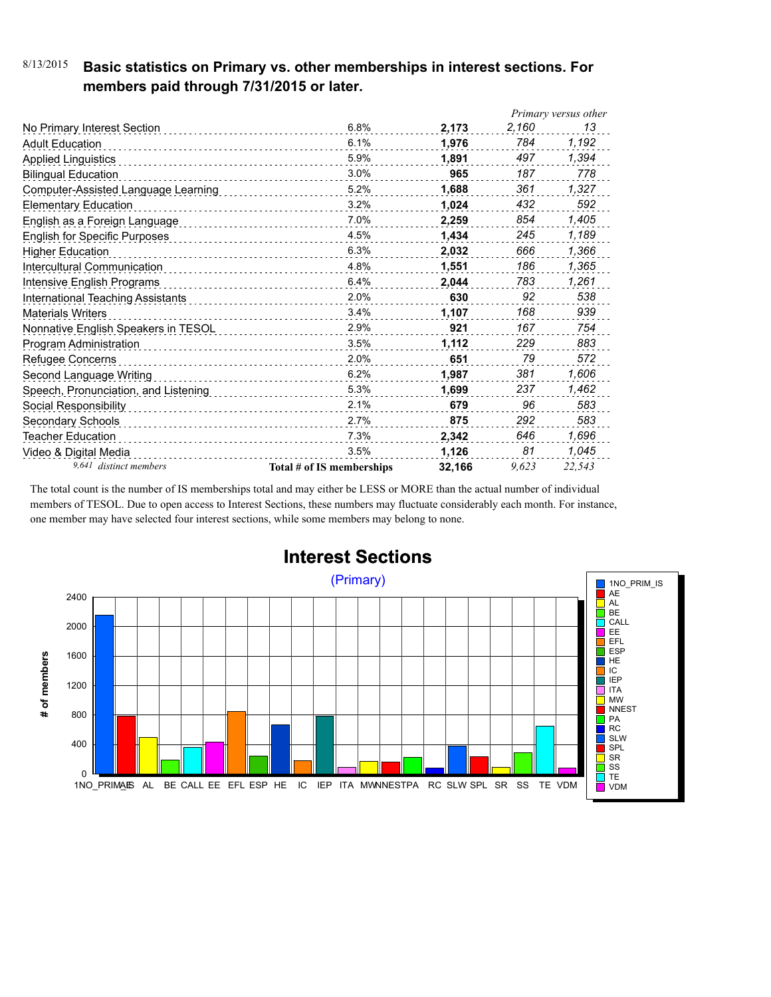#### 8/13/2015 **Basic statistics on Primary vs. other memberships in interest sections. For members paid through 7/31/2015 or later.**

|                                      |                           |        |       | Primary versus other |
|--------------------------------------|---------------------------|--------|-------|----------------------|
| No Primary Interest Section          | 6.8%                      | 2,173  | 2,160 | 13                   |
| <b>Adult Education</b>               | 6.1%                      | 1.976  | 784   | 1,192                |
| <b>Applied Linguistics</b>           | 5.9%                      | 1.891  | 497   | 1,394                |
| <b>Bilingual Education</b>           | 3.0%                      | 965    | 187   | 778                  |
| Computer-Assisted Language Learning  | 5.2%                      | 1,688  | 361   | 1,327                |
| <b>Elementary Education</b>          | 3.2%                      | 1,024  | 432   | 592                  |
| English as a Foreign Language        | 7.0%                      | 2,259  | 854   | 1,405                |
| <b>English for Specific Purposes</b> | 4.5%                      | 1.434  | 245   | 1,189                |
| Higher Education                     | 6.3%                      | 2,032  | 666   | 1,366                |
| Intercultural Communication          | 4.8%                      | 1,551  | 186   | 1,365                |
| Intensive English Programs           | 6.4%                      | 2,044  | 783   | 1,261                |
| International Teaching Assistants    | 2.0%                      | 630    | 92    | 538                  |
| <b>Materials Writers</b>             | 3.4%<br>.                 | 1,107  | 168   | 939                  |
| Nonnative English Speakers in TESOL  | 2.9%                      | 921    | 167   | 754                  |
| Program Administration               | 3.5%                      | 1,112  | 229   | 883                  |
| Refugee Concerns                     | 2.0%                      | 651    | 79    | 572                  |
| Second Language Writing              | 6.2%                      | 1,987  | 381   | 1,606                |
| Speech, Pronunciation, and Listening | 5.3%                      | 1,699  | 237   | 1,462                |
| Social Responsibility                | 2.1%                      | 679    | 96    | 583                  |
| Secondary Schools                    | 2.7%                      | 875    | 292   | 583                  |
| Teacher Education                    | 7.3%                      | 2.342  | 646   | 1,696                |
| Video & Digital Media                | 3.5%                      | 1,126  | 81    | 1,045                |
| 9,641 distinct members               | Total # of IS memberships | 32,166 | 9,623 | 22,543               |

The total count is the number of IS memberships total and may either be LESS or MORE than the actual number of individual members of TESOL. Due to open access to Interest Sections, these numbers may fluctuate considerably each month. For instance, one member may have selected four interest sections, while some members may belong to none.



## **Interest Sections**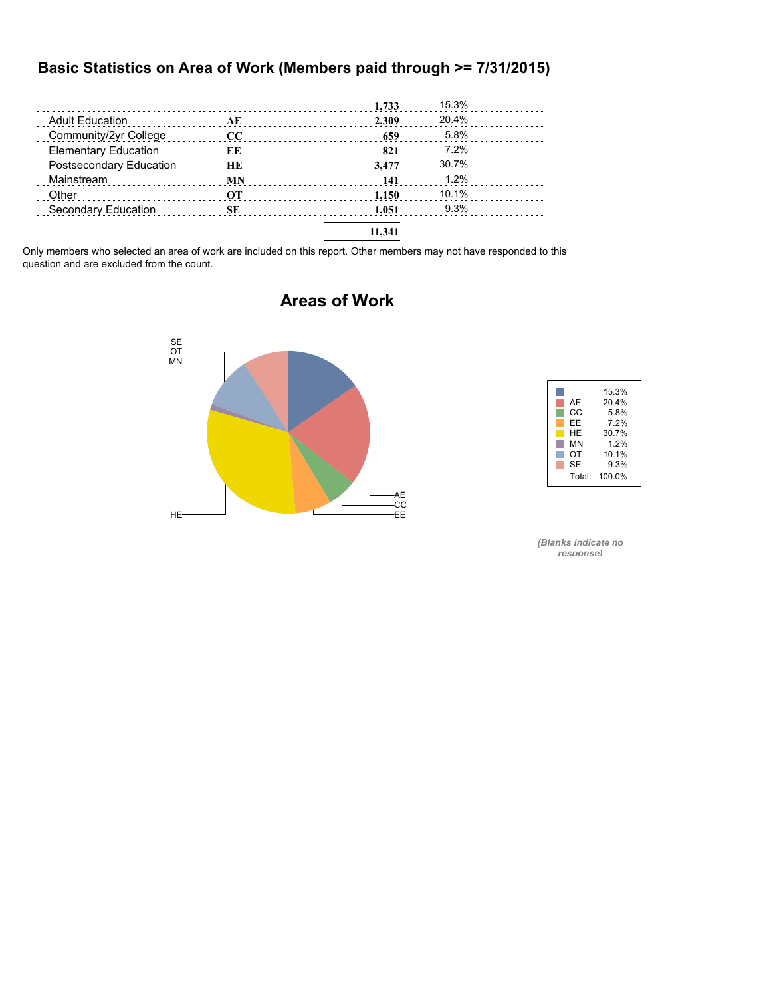### **Basic Statistics on Area of Work (Members paid through >= 7/31/2015)**

|                             |           | 1,733  | 15.3% |  |
|-----------------------------|-----------|--------|-------|--|
| <b>Adult Education</b>      | AE        | 2.309  | 20.4% |  |
| Community/2yr College       | CC        | 659    | 5.8%  |  |
| <b>Elementary Education</b> | ЕE        | 821    | 7.2%  |  |
| Postsecondary Education     | HE        | 3.477  | 30.7% |  |
| Mainstream                  | MN        | 141    | 1.2%  |  |
| Other                       | <b>OT</b> | 1.150  | 10.1% |  |
| Secondary Education         | SЕ        | 1.051  | 9.3%  |  |
|                             |           | 11.341 |       |  |

Only members who selected an area of work are included on this report. Other members may not have responded to this question and are excluded from the count.

# AE -CC<br>-EE  $HE$  and  $E$  and  $E$  and  $E$  and  $E$  and  $E$  and  $E$  and  $E$  and  $E$  and  $E$  and  $E$  and  $E$  and  $E$  and  $E$  and  $E$  and  $E$  and  $E$  and  $E$  and  $E$  and  $E$  and  $E$  and  $E$  and  $E$  and  $E$  and  $E$  and  $E$  and  $E$  and  $E$  a MN OT SE

| AE<br>CС<br>FF       | 15.3%<br>20.4%<br>5.8%<br>7.2% |
|----------------------|--------------------------------|
| HF<br>MN<br>OТ<br>SE | 30.7%<br>1.2%<br>10.1%<br>9.3% |
|                      | Total: 100.0%                  |

*(Blanks indicate no response)*

#### **Areas of Work**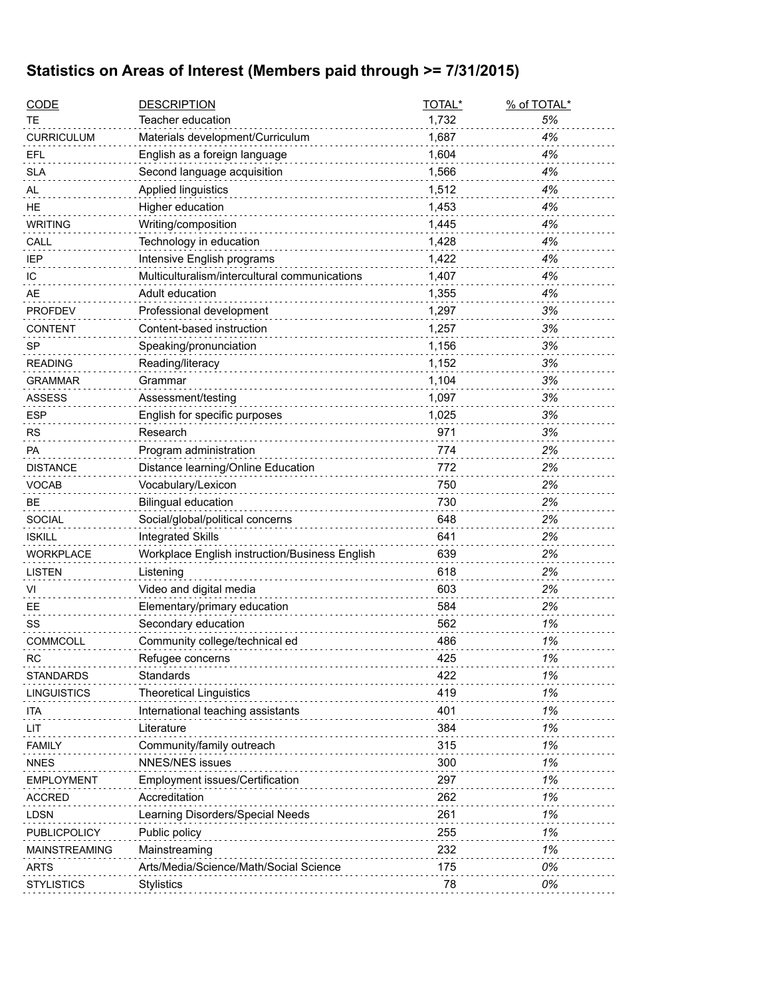## **Statistics on Areas of Interest (Members paid through >= 7/31/2015)**

| <b>CODE</b>          | <b>DESCRIPTION</b>                             | TOTAL* | % of TOTAL* |
|----------------------|------------------------------------------------|--------|-------------|
| ТE                   | Teacher education                              | 1,732  | 5%          |
| <b>CURRICULUM</b>    | Materials development/Curriculum               | 1,687  | 4%          |
| <b>EFL</b>           | English as a foreign language                  | 1,604  | 4%          |
| <b>SLA</b>           | Second language acquisition                    | 1,566  | 4%          |
| AL                   | Applied linguistics                            | 1,512  | 4%          |
| <b>HE</b>            | Higher education                               | 1,453  | 4%          |
| <b>WRITING</b>       | Writing/composition                            | 1,445  | 4%          |
| CALL                 | Technology in education                        | 1,428  | 4%          |
| <b>IEP</b>           | Intensive English programs                     | 1,422  | 4%          |
| IC                   | Multiculturalism/intercultural communications  | 1,407  | 4%          |
| AE                   | Adult education                                | 1,355  | 4%          |
| <b>PROFDEV</b>       | Professional development                       | 1,297  | 3%          |
| <b>CONTENT</b>       | Content-based instruction                      | 1,257  | 3%          |
| <b>SP</b>            | Speaking/pronunciation                         | 1,156  | 3%          |
| <b>READING</b>       | Reading/literacy                               | 1,152  | 3%          |
| <b>GRAMMAR</b>       | Grammar                                        | 1,104  | 3%          |
| <b>ASSESS</b>        | Assessment/testing                             | 1,097  | 3%          |
| <b>ESP</b>           | English for specific purposes                  | 1,025  | 3%          |
| <b>RS</b>            | Research                                       | 971    | 3%          |
| <b>PA</b>            | Program administration                         | 774    | 2%          |
| <b>DISTANCE</b>      | Distance learning/Online Education             | 772    | 2%          |
| <b>VOCAB</b>         | Vocabulary/Lexicon                             | 750    | 2%          |
| <b>BE</b>            | <b>Bilingual education</b>                     | 730    | 2%          |
| <b>SOCIAL</b>        | Social/global/political concerns               | 648    | 2%          |
| <b>ISKILL</b>        | <b>Integrated Skills</b>                       | 641    | 2%          |
| <b>WORKPLACE</b>     | Workplace English instruction/Business English | 639    | 2%          |
| <b>LISTEN</b>        | Listening                                      | 618    | 2%          |
| VI                   | Video and digital media                        | 603    | 2%          |
| EЕ                   | Elementary/primary education                   | 584    | 2%          |
| SS                   | Secondary education                            | 562    | 1%          |
| <b>COMMCOLL</b>      | Community college/technical ed                 | 486    | 1%          |
| <b>RC</b>            | Refugee concerns                               | 425    | 1%          |
| <b>STANDARDS</b>     | Standards                                      | 422    | 1%          |
| <b>LINGUISTICS</b>   | <b>Theoretical Linguistics</b>                 | 419    | 1%          |
| ita                  | International teaching assistants              | 401    | 1%          |
| LIT                  | Literature                                     | 384    | 1%          |
| <b>FAMILY</b>        | Community/family outreach                      | 315    | 1%          |
| <b>NNES</b>          | NNES/NES issues                                | 300    | 1%          |
| <b>EMPLOYMENT</b>    | <b>Employment issues/Certification</b>         | 297    | 1%          |
| <b>ACCRED</b>        | Accreditation                                  | 262    | 1%          |
| <b>LDSN</b>          | Learning Disorders/Special Needs               | 261    | 1%          |
| PUBLICPOLICY         | Public policy                                  | 255    | 1%          |
| <b>MAINSTREAMING</b> | Mainstreaming                                  | 232    | 1%          |
| <b>ARTS</b>          | Arts/Media/Science/Math/Social Science         | 175    | 0%          |
| <b>STYLISTICS</b>    | Stylistics                                     | 78     | 0%          |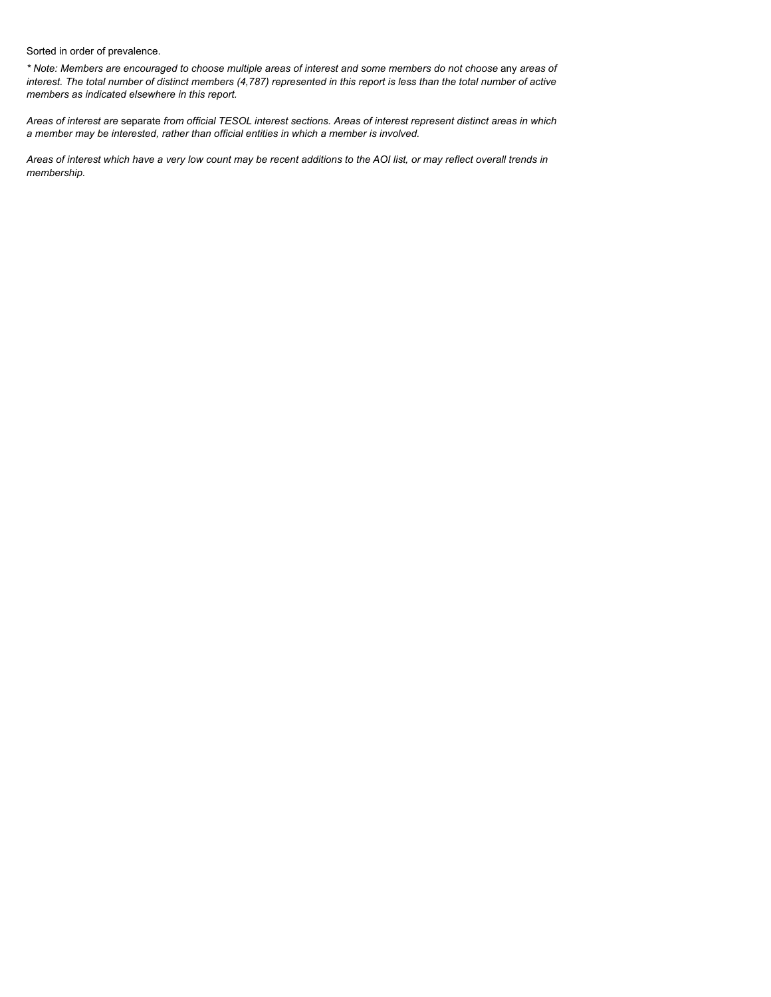Sorted in order of prevalence.

*\* Note: Members are encouraged to choose multiple areas of interest and some members do not choose* any *areas of interest. The total number of distinct members (4,787) represented in this report is less than the total number of active members as indicated elsewhere in this report.*

*Areas of interest are* separate *from official TESOL interest sections. Areas of interest represent distinct areas in which a member may be interested, rather than official entities in which a member is involved.*

*Areas of interest which have a very low count may be recent additions to the AOI list, or may reflect overall trends in membership.*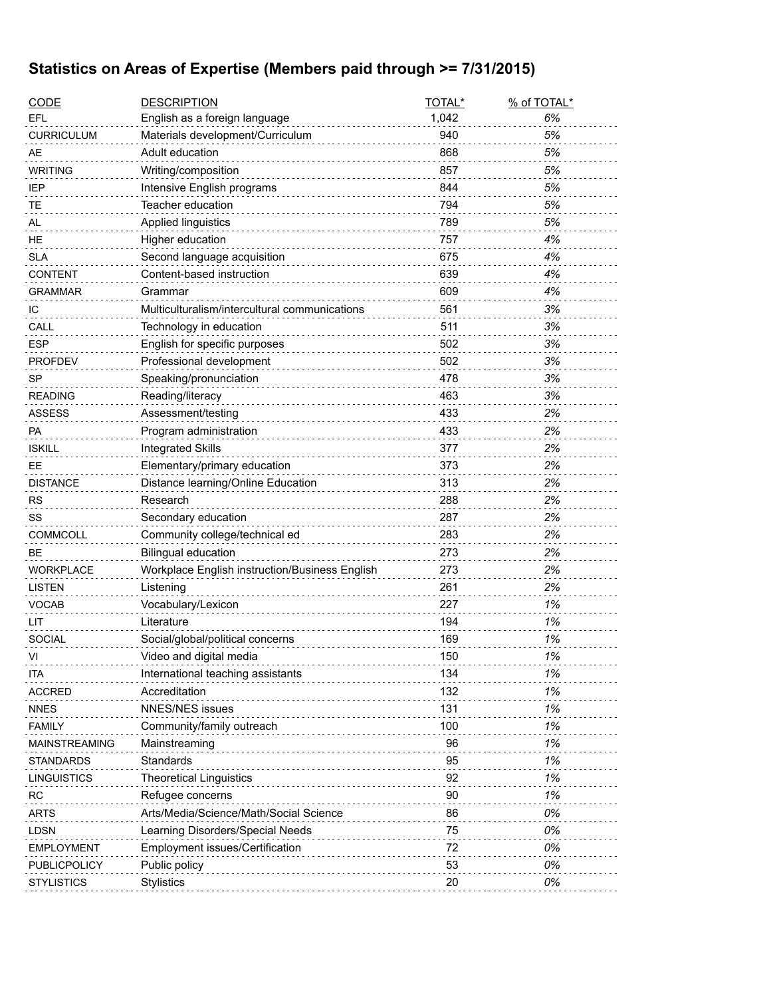## **Statistics on Areas of Expertise (Members paid through >= 7/31/2015)**

| <b>CODE</b>        | <b>DESCRIPTION</b>                             | TOTAL* | % of TOTAL* |
|--------------------|------------------------------------------------|--------|-------------|
| EFL                | English as a foreign language                  | 1,042  | 6%          |
| <b>CURRICULUM</b>  | Materials development/Curriculum               | 940    | 5%          |
| AE                 | Adult education                                | 868    | 5%          |
| <b>WRITING</b>     | Writing/composition                            | 857    | 5%          |
| IEP                | Intensive English programs                     | 844    | 5%          |
| <b>TE</b>          | Teacher education                              | 794    | 5%          |
| AL                 | Applied linguistics                            | 789    | 5%          |
| HE                 | Higher education                               | 757    | 4%          |
| <b>SLA</b>         | Second language acquisition                    | 675    | 4%          |
| <b>CONTENT</b>     | Content-based instruction                      | 639    | 4%          |
| <b>GRAMMAR</b>     | Grammar                                        | 609    | 4%          |
| IС                 | Multiculturalism/intercultural communications  | 561    | 3%          |
| CALL               | Technology in education                        | 511    | 3%          |
| <b>ESP</b>         | English for specific purposes                  | 502    | 3%          |
| <b>PROFDEV</b>     | Professional development                       | 502    | 3%          |
| <b>SP</b>          | Speaking/pronunciation                         | 478    | 3%          |
| <b>READING</b>     | Reading/literacy                               | 463    | 3%          |
| <b>ASSESS</b>      | Assessment/testing                             | 433    | 2%          |
| PA                 | Program administration                         | 433    | 2%          |
| <b>ISKILL</b>      | <b>Integrated Skills</b>                       | 377    | 2%          |
| EE.                | Elementary/primary education                   | 373    | 2%          |
| <b>DISTANCE</b>    | Distance learning/Online Education             | 313    | 2%          |
| <b>RS</b>          | Research                                       | 288    | 2%          |
| SS                 | Secondary education                            | 287    | 2%          |
| COMMCOLL           | Community college/technical ed                 | 283    | 2%          |
| <b>BE</b>          | <b>Bilingual education</b>                     | 273    | 2%          |
| <b>WORKPLACE</b>   | Workplace English instruction/Business English | 273    | 2%          |
| <b>LISTEN</b>      | Listening                                      | 261    | 2%          |
| <b>VOCAB</b>       | Vocabulary/Lexicon                             | 227    | 1%          |
| LIT                | Literature                                     | 194    | 1%          |
| <b>SOCIAL</b>      | Social/global/political concerns               | 169    | 1%          |
| VI                 | Video and digital media                        | 150    | 1%          |
| ITA                | International teaching assistants              | 134    | 1%          |
| <b>ACCRED</b>      | Accreditation                                  | 132    | 1%          |
| <b>NNES</b>        | <b>NNES/NES issues</b>                         | 131    | 1%          |
| <b>FAMILY</b>      | Community/family outreach                      | 100    | 1%          |
| MAINSTREAMING      | Mainstreaming                                  | 96     | 1%          |
| <b>STANDARDS</b>   | Standards                                      | 95     | 1%          |
| <b>LINGUISTICS</b> | <b>Theoretical Linguistics</b>                 | 92     | 1%          |
| <b>RC</b>          | Refugee concerns                               | 90     | 1%          |
| <b>ARTS</b>        | Arts/Media/Science/Math/Social Science         | 86     | 0%          |
| LDSN               | Learning Disorders/Special Needs               | 75     | 0%          |
| <b>EMPLOYMENT</b>  | Employment issues/Certification                | 72     | 0%          |
| PUBLICPOLICY       | Public policy                                  | 53     | 0%          |
| <b>STYLISTICS</b>  | <b>Stylistics</b>                              | 20     | 0%          |
|                    |                                                |        |             |